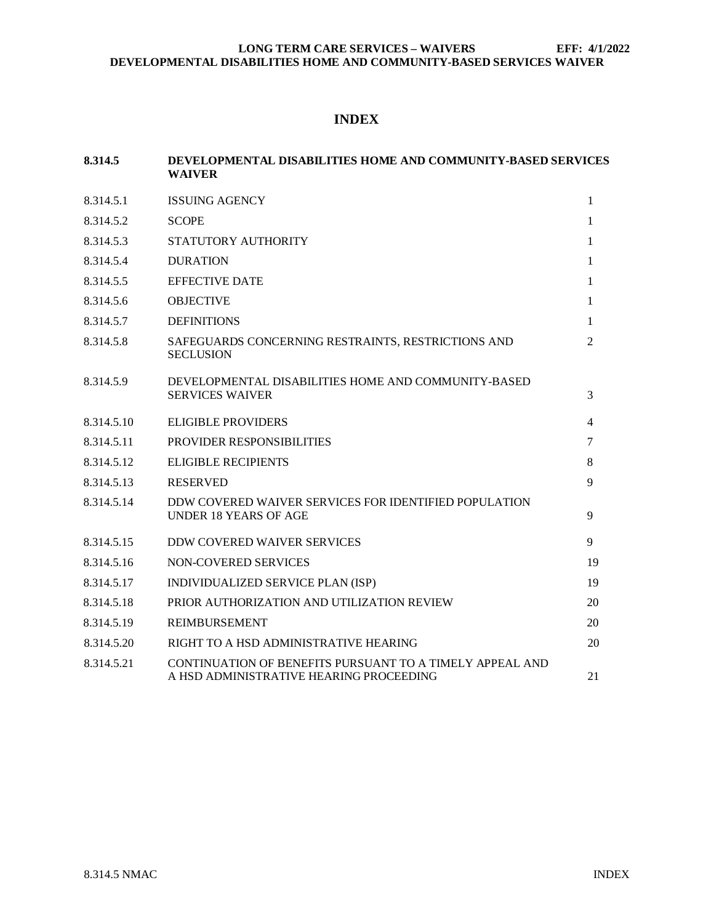# **INDEX**

| 8.314.5    | DEVELOPMENTAL DISABILITIES HOME AND COMMUNITY-BASED SERVICES<br>WAIVER                              |                |
|------------|-----------------------------------------------------------------------------------------------------|----------------|
| 8.314.5.1  | <b>ISSUING AGENCY</b>                                                                               | $\mathbf{1}$   |
| 8.314.5.2  | <b>SCOPE</b>                                                                                        | $\mathbf{1}$   |
| 8.314.5.3  | STATUTORY AUTHORITY                                                                                 | 1              |
| 8.314.5.4  | <b>DURATION</b>                                                                                     | 1              |
| 8.314.5.5  | <b>EFFECTIVE DATE</b>                                                                               | 1              |
| 8.314.5.6  | <b>OBJECTIVE</b>                                                                                    | 1              |
| 8.314.5.7  | <b>DEFINITIONS</b>                                                                                  | $\mathbf{1}$   |
| 8.314.5.8  | SAFEGUARDS CONCERNING RESTRAINTS, RESTRICTIONS AND<br><b>SECLUSION</b>                              | $\overline{2}$ |
| 8.314.5.9  | DEVELOPMENTAL DISABILITIES HOME AND COMMUNITY-BASED<br><b>SERVICES WAIVER</b>                       | 3              |
| 8.314.5.10 | <b>ELIGIBLE PROVIDERS</b>                                                                           | 4              |
| 8.314.5.11 | PROVIDER RESPONSIBILITIES                                                                           | $\tau$         |
| 8.314.5.12 | <b>ELIGIBLE RECIPIENTS</b>                                                                          | 8              |
| 8.314.5.13 | <b>RESERVED</b>                                                                                     | 9              |
| 8.314.5.14 | DDW COVERED WAIVER SERVICES FOR IDENTIFIED POPULATION<br><b>UNDER 18 YEARS OF AGE</b>               | 9              |
| 8.314.5.15 | <b>DDW COVERED WAIVER SERVICES</b>                                                                  | 9              |
| 8.314.5.16 | NON-COVERED SERVICES                                                                                | 19             |
| 8.314.5.17 | INDIVIDUALIZED SERVICE PLAN (ISP)                                                                   | 19             |
| 8.314.5.18 | PRIOR AUTHORIZATION AND UTILIZATION REVIEW                                                          | 20             |
| 8.314.5.19 | <b>REIMBURSEMENT</b>                                                                                | 20             |
| 8.314.5.20 | RIGHT TO A HSD ADMINISTRATIVE HEARING                                                               | 20             |
| 8.314.5.21 | CONTINUATION OF BENEFITS PURSUANT TO A TIMELY APPEAL AND<br>A HSD ADMINISTRATIVE HEARING PROCEEDING | 21             |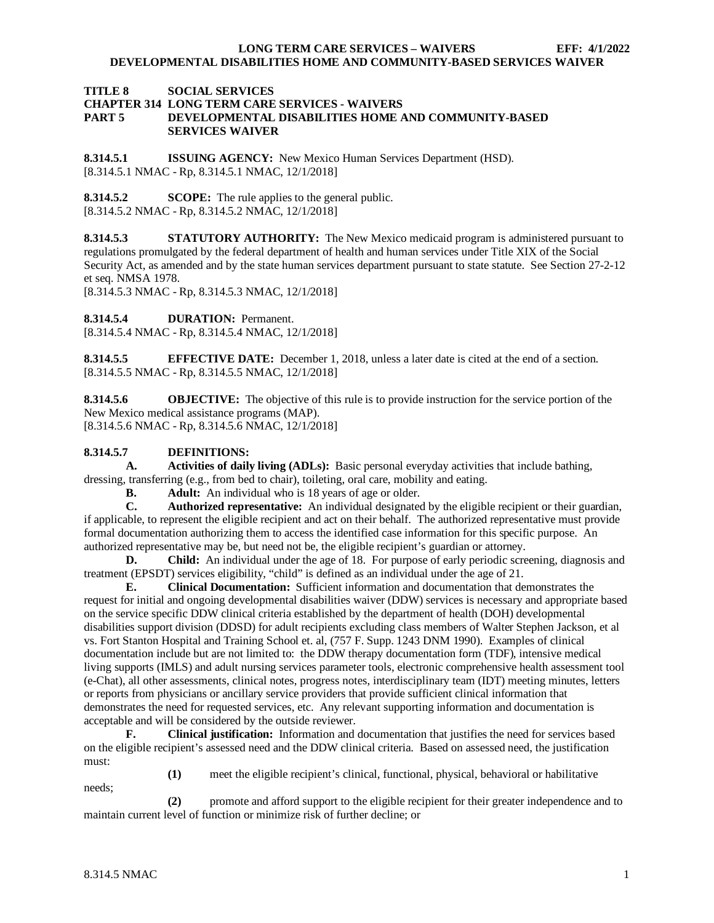## **TITLE 8 SOCIAL SERVICES CHAPTER 314 LONG TERM CARE SERVICES - WAIVERS PEVELOPMENTAL DISABILITIES HOME AND COMMUNITY-BASED SERVICES WAIVER**

<span id="page-1-0"></span>**8.314.5.1 ISSUING AGENCY:** New Mexico Human Services Department (HSD). [8.314.5.1 NMAC - Rp, 8.314.5.1 NMAC, 12/1/2018]

<span id="page-1-1"></span>**8.314.5.2 SCOPE:** The rule applies to the general public. [8.314.5.2 NMAC - Rp, 8.314.5.2 NMAC, 12/1/2018]

<span id="page-1-2"></span>**8.314.5.3 STATUTORY AUTHORITY:** The New Mexico medicaid program is administered pursuant to regulations promulgated by the federal department of health and human services under Title XIX of the Social Security Act, as amended and by the state human services department pursuant to state statute. See Section 27-2-12 et seq. NMSA 1978.

[8.314.5.3 NMAC - Rp, 8.314.5.3 NMAC, 12/1/2018]

<span id="page-1-3"></span>**8.314.5.4 DURATION:** Permanent.

[8.314.5.4 NMAC - Rp, 8.314.5.4 NMAC, 12/1/2018]

<span id="page-1-4"></span>**8.314.5.5 EFFECTIVE DATE:** December 1, 2018, unless a later date is cited at the end of a section. [8.314.5.5 NMAC - Rp, 8.314.5.5 NMAC, 12/1/2018]

<span id="page-1-5"></span>**8.314.5.6 OBJECTIVE:** The objective of this rule is to provide instruction for the service portion of the New Mexico medical assistance programs (MAP). [8.314.5.6 NMAC - Rp, 8.314.5.6 NMAC, 12/1/2018]

## <span id="page-1-6"></span>**8.314.5.7 DEFINITIONS:**

**A. Activities of daily living (ADLs):** Basic personal everyday activities that include bathing, dressing, transferring (e.g., from bed to chair), toileting, oral care, mobility and eating.<br> **B.** Adult: An individual who is 18 years of age or older.

**B. Adult:** An individual who is 18 years of age or older.<br>**C. Authorized representative:** An individual designated

**C. Authorized representative:** An individual designated by the eligible recipient or their guardian, if applicable, to represent the eligible recipient and act on their behalf. The authorized representative must provide formal documentation authorizing them to access the identified case information for this specific purpose. An authorized representative may be, but need not be, the eligible recipient's guardian or attorney.

**D. Child:** An individual under the age of 18. For purpose of early periodic screening, diagnosis and treatment (EPSDT) services eligibility, "child" is defined as an individual under the age of 21.

**E. Clinical Documentation:** Sufficient information and documentation that demonstrates the request for initial and ongoing developmental disabilities waiver (DDW) services is necessary and appropriate based on the service specific DDW clinical criteria established by the department of health (DOH) developmental disabilities support division (DDSD) for adult recipients excluding class members of Walter Stephen Jackson, et al vs. Fort Stanton Hospital and Training School et. al, (757 F. Supp. 1243 DNM 1990). Examples of clinical documentation include but are not limited to: the DDW therapy documentation form (TDF), intensive medical living supports (IMLS) and adult nursing services parameter tools, electronic comprehensive health assessment tool (e-Chat), all other assessments, clinical notes, progress notes, interdisciplinary team (IDT) meeting minutes, letters or reports from physicians or ancillary service providers that provide sufficient clinical information that demonstrates the need for requested services, etc. Any relevant supporting information and documentation is acceptable and will be considered by the outside reviewer.

**F. Clinical justification:** Information and documentation that justifies the need for services based on the eligible recipient's assessed need and the DDW clinical criteria. Based on assessed need, the justification must:

needs;

**(1)** meet the eligible recipient's clinical, functional, physical, behavioral or habilitative

**(2)** promote and afford support to the eligible recipient for their greater independence and to maintain current level of function or minimize risk of further decline; or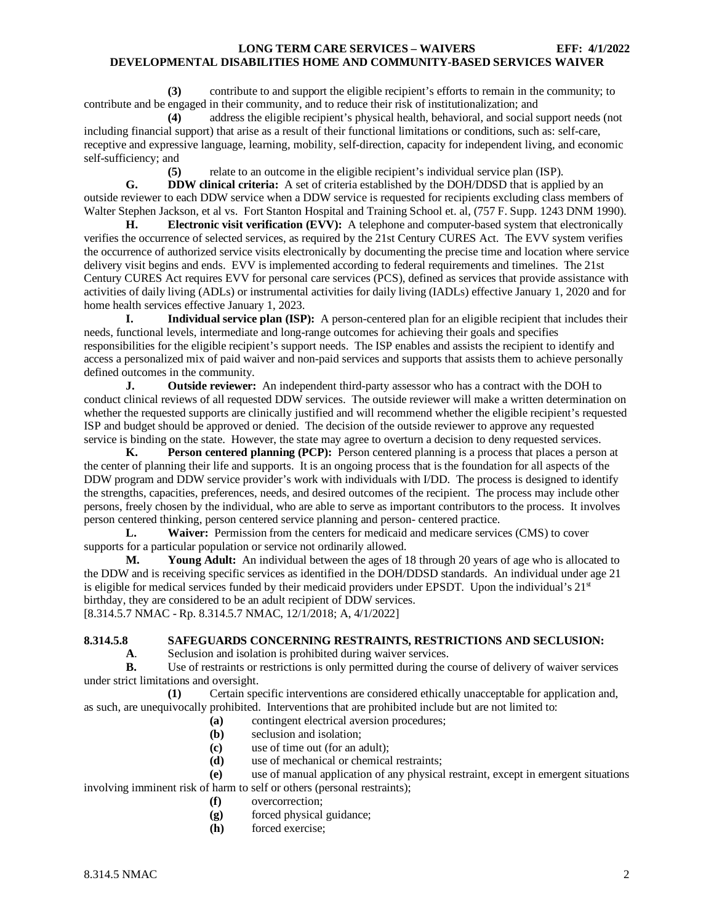**(3)** contribute to and support the eligible recipient's efforts to remain in the community; to contribute and be engaged in their community, and to reduce their risk of institutionalization; and

**(4)** address the eligible recipient's physical health, behavioral, and social support needs (not including financial support) that arise as a result of their functional limitations or conditions, such as: self-care, receptive and expressive language, learning, mobility, self-direction, capacity for independent living, and economic self-sufficiency; and

relate to an outcome in the eligible recipient's individual service plan (ISP).

**G. DDW clinical criteria:** A set of criteria established by the DOH/DDSD that is applied by an outside reviewer to each DDW service when a DDW service is requested for recipients excluding class members of Walter Stephen Jackson, et al vs. Fort Stanton Hospital and Training School et. al, (757 F. Supp. 1243 DNM 1990).

**H. Electronic visit verification (EVV):** A telephone and computer-based system that electronically verifies the occurrence of selected services, as required by the 21st Century CURES Act. The EVV system verifies the occurrence of authorized service visits electronically by documenting the precise time and location where service delivery visit begins and ends. EVV is implemented according to federal requirements and timelines. The 21st Century CURES Act requires EVV for personal care services (PCS), defined as services that provide assistance with activities of daily living (ADLs) or instrumental activities for daily living (IADLs) effective January 1, 2020 and for home health services effective January 1, 2023.

**I. Individual service plan (ISP):** A person-centered plan for an eligible recipient that includes their needs, functional levels, intermediate and long-range outcomes for achieving their goals and specifies responsibilities for the eligible recipient's support needs. The ISP enables and assists the recipient to identify and access a personalized mix of paid waiver and non-paid services and supports that assists them to achieve personally defined outcomes in the community.

**J. Outside reviewer:** An independent third-party assessor who has a contract with the DOH to conduct clinical reviews of all requested DDW services. The outside reviewer will make a written determination on whether the requested supports are clinically justified and will recommend whether the eligible recipient's requested ISP and budget should be approved or denied. The decision of the outside reviewer to approve any requested service is binding on the state. However, the state may agree to overturn a decision to deny requested services.

**K. Person centered planning (PCP):** Person centered planning is a process that places a person at the center of planning their life and supports. It is an ongoing process that is the foundation for all aspects of the DDW program and DDW service provider's work with individuals with I/DD. The process is designed to identify the strengths, capacities, preferences, needs, and desired outcomes of the recipient. The process may include other persons, freely chosen by the individual, who are able to serve as important contributors to the process. It involves person centered thinking, person centered service planning and person- centered practice.

**L. Waiver:** Permission from the centers for medicaid and medicare services (CMS) to cover supports for a particular population or service not ordinarily allowed.

**M. Young Adult:** An individual between the ages of 18 through 20 years of age who is allocated to the DDW and is receiving specific services as identified in the DOH/DDSD standards. An individual under age 21 is eligible for medical services funded by their medicaid providers under EPSDT. Upon the individual's  $21<sup>st</sup>$ birthday, they are considered to be an adult recipient of DDW services. [8.314.5.7 NMAC - Rp. 8.314.5.7 NMAC, 12/1/2018; A, 4/1/2022]

<span id="page-2-0"></span>**8.314.5.8 SAFEGUARDS CONCERNING RESTRAINTS, RESTRICTIONS AND SECLUSION:**

Seclusion and isolation is prohibited during waiver services.

**B.** Use of restraints or restrictions is only permitted during the course of delivery of waiver services under strict limitations and oversight.

**(1)** Certain specific interventions are considered ethically unacceptable for application and, as such, are unequivocally prohibited. Interventions that are prohibited include but are not limited to:

- **(a)** contingent electrical aversion procedures;
- **(b)** seclusion and isolation;
- **(c)** use of time out (for an adult);
- **(d)** use of mechanical or chemical restraints;
- **(e)** use of manual application of any physical restraint, except in emergent situations involving imminent risk of harm to self or others (personal restraints);
	- **(f)** overcorrection;
	- **(g)** forced physical guidance;
	- **(h)** forced exercise;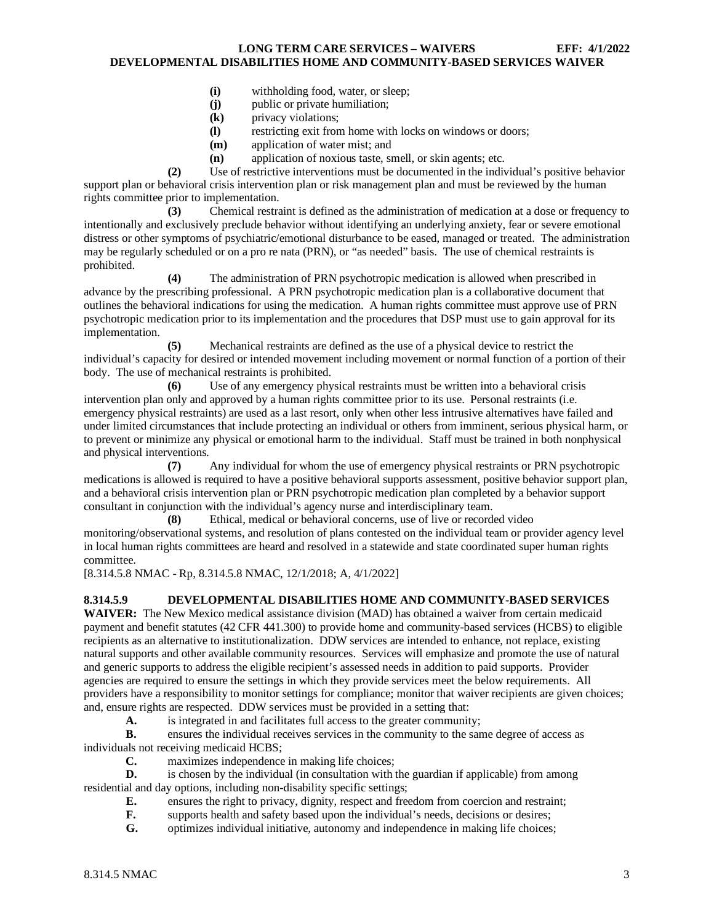- **(i)** withholding food, water, or sleep;
- **(j)** public or private humiliation;
- **(k)** privacy violations;
- **(l)** restricting exit from home with locks on windows or doors;
- **(m)** application of water mist; and
- **(n)** application of noxious taste, smell, or skin agents; etc.

**(2)** Use of restrictive interventions must be documented in the individual's positive behavior support plan or behavioral crisis intervention plan or risk management plan and must be reviewed by the human rights committee prior to implementation.

**(3)** Chemical restraint is defined as the administration of medication at a dose or frequency to intentionally and exclusively preclude behavior without identifying an underlying anxiety, fear or severe emotional distress or other symptoms of psychiatric/emotional disturbance to be eased, managed or treated. The administration may be regularly scheduled or on a pro re nata (PRN), or "as needed" basis. The use of chemical restraints is prohibited.

**(4)** The administration of PRN psychotropic medication is allowed when prescribed in advance by the prescribing professional. A PRN psychotropic medication plan is a collaborative document that outlines the behavioral indications for using the medication. A human rights committee must approve use of PRN psychotropic medication prior to its implementation and the procedures that DSP must use to gain approval for its implementation.

**(5)** Mechanical restraints are defined as the use of a physical device to restrict the individual's capacity for desired or intended movement including movement or normal function of a portion of their body. The use of mechanical restraints is prohibited.

Use of any emergency physical restraints must be written into a behavioral crisis intervention plan only and approved by a human rights committee prior to its use. Personal restraints (i.e. emergency physical restraints) are used as a last resort, only when other less intrusive alternatives have failed and under limited circumstances that include protecting an individual or others from imminent, serious physical harm, or to prevent or minimize any physical or emotional harm to the individual. Staff must be trained in both nonphysical and physical interventions.

**(7)** Any individual for whom the use of emergency physical restraints or PRN psychotropic medications is allowed is required to have a positive behavioral supports assessment, positive behavior support plan, and a behavioral crisis intervention plan or PRN psychotropic medication plan completed by a behavior support consultant in conjunction with the individual's agency nurse and interdisciplinary team.

**(8)** Ethical, medical or behavioral concerns, use of live or recorded video monitoring/observational systems, and resolution of plans contested on the individual team or provider agency level in local human rights committees are heard and resolved in a statewide and state coordinated super human rights committee.

[8.314.5.8 NMAC - Rp, 8.314.5.8 NMAC, 12/1/2018; A, 4/1/2022]

## <span id="page-3-0"></span>**8.314.5.9 DEVELOPMENTAL DISABILITIES HOME AND COMMUNITY-BASED SERVICES**

**WAIVER:** The New Mexico medical assistance division (MAD) has obtained a waiver from certain medicaid payment and benefit statutes (42 CFR 441.300) to provide home and community-based services (HCBS) to eligible recipients as an alternative to institutionalization. DDW services are intended to enhance, not replace, existing natural supports and other available community resources. Services will emphasize and promote the use of natural and generic supports to address the eligible recipient's assessed needs in addition to paid supports. Provider agencies are required to ensure the settings in which they provide services meet the below requirements. All providers have a responsibility to monitor settings for compliance; monitor that waiver recipients are given choices; and, ensure rights are respected. DDW services must be provided in a setting that:

**A.** is integrated in and facilitates full access to the greater community;

**B.** ensures the individual receives services in the community to the same degree of access as individuals not receiving medicaid HCBS;

**C.** maximizes independence in making life choices;

**D.** is chosen by the individual (in consultation with the guardian if applicable) from among residential and day options, including non-disability specific settings;

- **E.** ensures the right to privacy, dignity, respect and freedom from coercion and restraint;<br>**F.** supports health and safety based upon the individual's needs, decisions or desires:
- supports health and safety based upon the individual's needs, decisions or desires;

**G.** optimizes individual initiative, autonomy and independence in making life choices;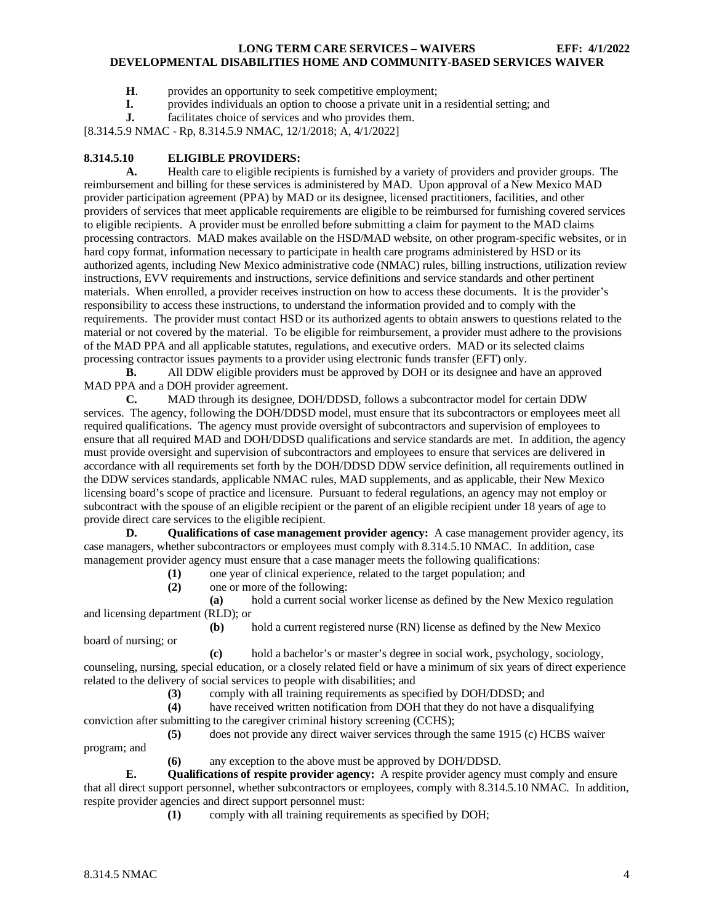- **H**. provides an opportunity to seek competitive employment;
- **I.** provides individuals an option to choose a private unit in a residential setting; and facilitates choice of services and who provides them.
- facilitates choice of services and who provides them.

[8.314.5.9 NMAC - Rp, 8.314.5.9 NMAC, 12/1/2018; A, 4/1/2022]

## <span id="page-4-0"></span>**8.314.5.10 ELIGIBLE PROVIDERS:**

**A.** Health care to eligible recipients is furnished by a variety of providers and provider groups. The reimbursement and billing for these services is administered by MAD. Upon approval of a New Mexico MAD provider participation agreement (PPA) by MAD or its designee, licensed practitioners, facilities, and other providers of services that meet applicable requirements are eligible to be reimbursed for furnishing covered services to eligible recipients. A provider must be enrolled before submitting a claim for payment to the MAD claims processing contractors. MAD makes available on the HSD/MAD website, on other program-specific websites, or in hard copy format, information necessary to participate in health care programs administered by HSD or its authorized agents, including New Mexico administrative code (NMAC) rules, billing instructions, utilization review instructions, EVV requirements and instructions, service definitions and service standards and other pertinent materials. When enrolled, a provider receives instruction on how to access these documents. It is the provider's responsibility to access these instructions, to understand the information provided and to comply with the requirements. The provider must contact HSD or its authorized agents to obtain answers to questions related to the material or not covered by the material. To be eligible for reimbursement, a provider must adhere to the provisions of the MAD PPA and all applicable statutes, regulations, and executive orders. MAD or its selected claims processing contractor issues payments to a provider using electronic funds transfer (EFT) only.

**B.** All DDW eligible providers must be approved by DOH or its designee and have an approved MAD PPA and a DOH provider agreement.

**C.** MAD through its designee, DOH/DDSD, follows a subcontractor model for certain DDW services. The agency, following the DOH/DDSD model, must ensure that its subcontractors or employees meet all required qualifications. The agency must provide oversight of subcontractors and supervision of employees to ensure that all required MAD and DOH/DDSD qualifications and service standards are met. In addition, the agency must provide oversight and supervision of subcontractors and employees to ensure that services are delivered in accordance with all requirements set forth by the DOH/DDSD DDW service definition, all requirements outlined in the DDW services standards, applicable NMAC rules, MAD supplements, and as applicable, their New Mexico licensing board's scope of practice and licensure. Pursuant to federal regulations, an agency may not employ or subcontract with the spouse of an eligible recipient or the parent of an eligible recipient under 18 years of age to provide direct care services to the eligible recipient.

**D. Qualifications of case management provider agency:** A case management provider agency, its case managers, whether subcontractors or employees must comply with 8.314.5.10 NMAC. In addition, case management provider agency must ensure that a case manager meets the following qualifications:

- **(1)** one year of clinical experience, related to the target population; and
- **(2)** one or more of the following:

**(a)** hold a current social worker license as defined by the New Mexico regulation and licensing department (RLD); or

**(b)** hold a current registered nurse (RN) license as defined by the New Mexico board of nursing; or

**(c)** hold a bachelor's or master's degree in social work, psychology, sociology, counseling, nursing, special education, or a closely related field or have a minimum of six years of direct experience related to the delivery of social services to people with disabilities; and<br>(3) comply with all training requirements as spec

**(3)** comply with all training requirements as specified by DOH/DDSD; and

**(4)** have received written notification from DOH that they do not have a disqualifying conviction after submitting to the caregiver criminal history screening (CCHS);

**(5)** does not provide any direct waiver services through the same 1915 (c) HCBS waiver program; and

**(6)** any exception to the above must be approved by DOH/DDSD.

**E. Qualifications of respite provider agency:** A respite provider agency must comply and ensure that all direct support personnel, whether subcontractors or employees, comply with 8.314.5.10 NMAC. In addition, respite provider agencies and direct support personnel must:

**(1)** comply with all training requirements as specified by DOH;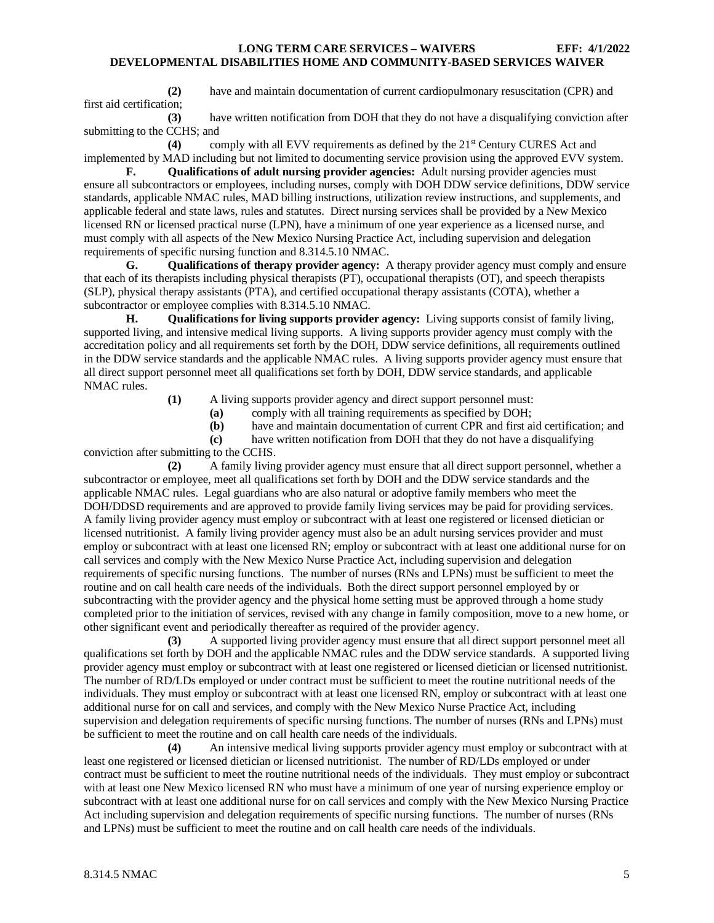**(2)** have and maintain documentation of current cardiopulmonary resuscitation (CPR) and first aid certification;

**(3)** have written notification from DOH that they do not have a disqualifying conviction after submitting to the CCHS; and

**(4)** comply with all EVV requirements as defined by the 21st Century CURES Act and implemented by MAD including but not limited to documenting service provision using the approved EVV system.

**F. Qualifications of adult nursing provider agencies:** Adult nursing provider agencies must ensure all subcontractors or employees, including nurses, comply with DOH DDW service definitions, DDW service standards, applicable NMAC rules, MAD billing instructions, utilization review instructions, and supplements, and applicable federal and state laws, rules and statutes. Direct nursing services shall be provided by a New Mexico licensed RN or licensed practical nurse (LPN), have a minimum of one year experience as a licensed nurse, and must comply with all aspects of the New Mexico Nursing Practice Act, including supervision and delegation requirements of specific nursing function and 8.314.5.10 NMAC.

**G. Qualifications of therapy provider agency:** A therapy provider agency must comply and ensure that each of its therapists including physical therapists (PT), occupational therapists (OT), and speech therapists (SLP), physical therapy assistants (PTA), and certified occupational therapy assistants (COTA), whether a subcontractor or employee complies with 8.314.5.10 NMAC.

**H. Qualifications for living supports provider agency:** Living supports consist of family living, supported living, and intensive medical living supports. A living supports provider agency must comply with the accreditation policy and all requirements set forth by the DOH, DDW service definitions, all requirements outlined in the DDW service standards and the applicable NMAC rules. A living supports provider agency must ensure that all direct support personnel meet all qualifications set forth by DOH, DDW service standards, and applicable NMAC rules.

- **(1)** A living supports provider agency and direct support personnel must:
	- **(a)** comply with all training requirements as specified by DOH;
	- **(b)** have and maintain documentation of current CPR and first aid certification; and

**(c)** have written notification from DOH that they do not have a disqualifying conviction after submitting to the CCHS.

**(2)** A family living provider agency must ensure that all direct support personnel, whether a subcontractor or employee, meet all qualifications set forth by DOH and the DDW service standards and the applicable NMAC rules. Legal guardians who are also natural or adoptive family members who meet the DOH/DDSD requirements and are approved to provide family living services may be paid for providing services. A family living provider agency must employ or subcontract with at least one registered or licensed dietician or licensed nutritionist. A family living provider agency must also be an adult nursing services provider and must employ or subcontract with at least one licensed RN; employ or subcontract with at least one additional nurse for on call services and comply with the New Mexico Nurse Practice Act, including supervision and delegation requirements of specific nursing functions. The number of nurses (RNs and LPNs) must be sufficient to meet the routine and on call health care needs of the individuals. Both the direct support personnel employed by or subcontracting with the provider agency and the physical home setting must be approved through a home study completed prior to the initiation of services, revised with any change in family composition, move to a new home, or other significant event and periodically thereafter as required of the provider agency.

**(3)** A supported living provider agency must ensure that all direct support personnel meet all qualifications set forth by DOH and the applicable NMAC rules and the DDW service standards. A supported living provider agency must employ or subcontract with at least one registered or licensed dietician or licensed nutritionist. The number of RD/LDs employed or under contract must be sufficient to meet the routine nutritional needs of the individuals. They must employ or subcontract with at least one licensed RN, employ or subcontract with at least one additional nurse for on call and services, and comply with the New Mexico Nurse Practice Act, including supervision and delegation requirements of specific nursing functions. The number of nurses (RNs and LPNs) must be sufficient to meet the routine and on call health care needs of the individuals.

**(4)** An intensive medical living supports provider agency must employ or subcontract with at least one registered or licensed dietician or licensed nutritionist. The number of RD/LDs employed or under contract must be sufficient to meet the routine nutritional needs of the individuals. They must employ or subcontract with at least one New Mexico licensed RN who must have a minimum of one year of nursing experience employ or subcontract with at least one additional nurse for on call services and comply with the New Mexico Nursing Practice Act including supervision and delegation requirements of specific nursing functions. The number of nurses (RNs and LPNs) must be sufficient to meet the routine and on call health care needs of the individuals.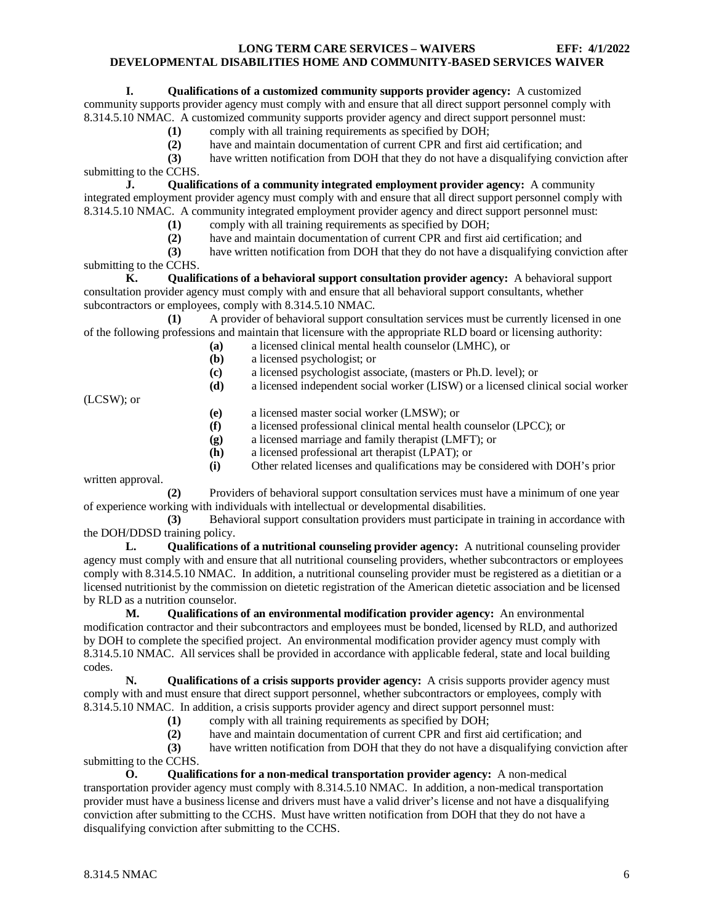## **I. Qualifications of a customized community supports provider agency:** A customized

community supports provider agency must comply with and ensure that all direct support personnel comply with 8.314.5.10 NMAC. A customized community supports provider agency and direct support personnel must:

- **(1)** comply with all training requirements as specified by DOH;
- **(2)** have and maintain documentation of current CPR and first aid certification; and
- **(3)** have written notification from DOH that they do not have a disqualifying conviction after

submitting to the CCHS.

**J. Qualifications of a community integrated employment provider agency:** A community integrated employment provider agency must comply with and ensure that all direct support personnel comply with 8.314.5.10 NMAC. A community integrated employment provider agency and direct support personnel must:

- **(1)** comply with all training requirements as specified by DOH;
- (2) have and maintain documentation of current CPR and first aid certification; and (3) have written notification from DOH that they do not have a disqualifying convic

**(3)** have written notification from DOH that they do not have a disqualifying conviction after submitting to the CCHS.

**K. Qualifications of a behavioral support consultation provider agency:** A behavioral support consultation provider agency must comply with and ensure that all behavioral support consultants, whether subcontractors or employees, comply with 8.314.5.10 NMAC.

**(1)** A provider of behavioral support consultation services must be currently licensed in one of the following professions and maintain that licensure with the appropriate RLD board or licensing authority:

- **(a)** a licensed clinical mental health counselor (LMHC), or
- **(b)** a licensed psychologist; or
- **(c)** a licensed psychologist associate, (masters or Ph.D. level); or
- **(d)** a licensed independent social worker (LISW) or a licensed clinical social worker

(LCSW); or

- **(e)** a licensed master social worker (LMSW); or
- **(f)** a licensed professional clinical mental health counselor (LPCC); or
- **(g)** a licensed marriage and family therapist (LMFT); or
- **(h)** a licensed professional art therapist (LPAT); or
- **(i)** Other related licenses and qualifications may be considered with DOH's prior

written approval.

**(2)** Providers of behavioral support consultation services must have a minimum of one year of experience working with individuals with intellectual or developmental disabilities.

**(3)** Behavioral support consultation providers must participate in training in accordance with the DOH/DDSD training policy.

**L. Qualifications of a nutritional counseling provider agency:** A nutritional counseling provider agency must comply with and ensure that all nutritional counseling providers, whether subcontractors or employees comply with 8.314.5.10 NMAC. In addition, a nutritional counseling provider must be registered as a dietitian or a licensed nutritionist by the commission on dietetic registration of the American dietetic association and be licensed by RLD as a nutrition counselor.

**M. Qualifications of an environmental modification provider agency:** An environmental modification contractor and their subcontractors and employees must be bonded, licensed by RLD, and authorized by DOH to complete the specified project. An environmental modification provider agency must comply with 8.314.5.10 NMAC. All services shall be provided in accordance with applicable federal, state and local building codes.

**N. Qualifications of a crisis supports provider agency:** A crisis supports provider agency must comply with and must ensure that direct support personnel, whether subcontractors or employees, comply with 8.314.5.10 NMAC. In addition, a crisis supports provider agency and direct support personnel must:

- 
- (1) comply with all training requirements as specified by DOH;<br>(2) have and maintain documentation of current CPR and first a have and maintain documentation of current CPR and first aid certification; and

**(3)** have written notification from DOH that they do not have a disqualifying conviction after submitting to the CCHS.

**O. Qualifications for a non-medical transportation provider agency:** A non-medical transportation provider agency must comply with 8.314.5.10 NMAC. In addition, a non-medical transportation provider must have a business license and drivers must have a valid driver's license and not have a disqualifying conviction after submitting to the CCHS. Must have written notification from DOH that they do not have a disqualifying conviction after submitting to the CCHS.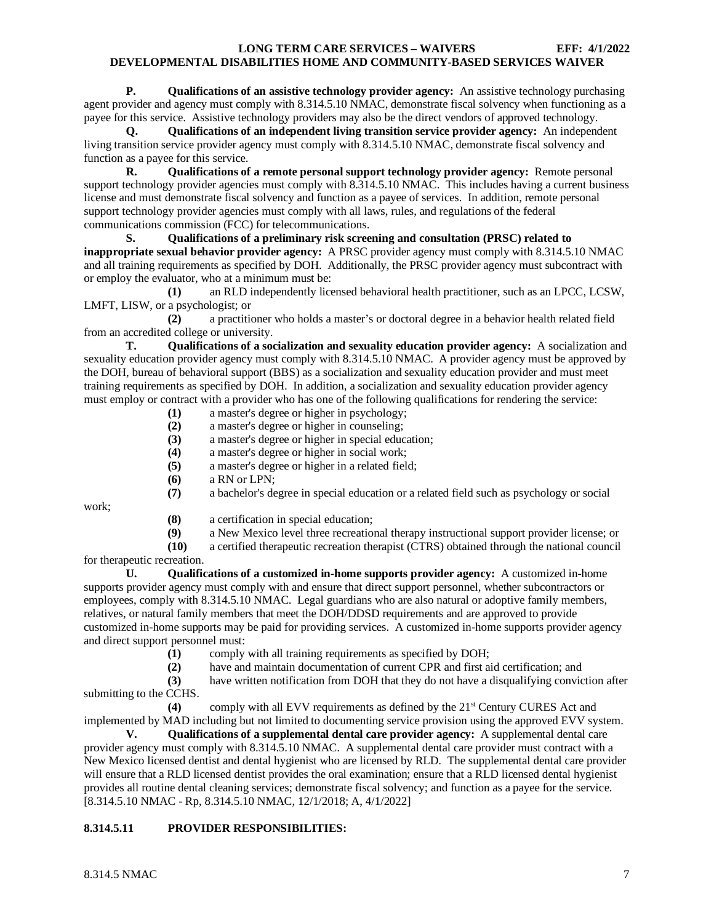**P. Qualifications of an assistive technology provider agency:** An assistive technology purchasing agent provider and agency must comply with 8.314.5.10 NMAC, demonstrate fiscal solvency when functioning as a payee for this service. Assistive technology providers may also be the direct vendors of approved technology.

**Q. Qualifications of an independent living transition service provider agency:** An independent living transition service provider agency must comply with 8.314.5.10 NMAC, demonstrate fiscal solvency and function as a payee for this service.

**R. Qualifications of a remote personal support technology provider agency:** Remote personal support technology provider agencies must comply with 8.314.5.10 NMAC. This includes having a current business license and must demonstrate fiscal solvency and function as a payee of services. In addition, remote personal support technology provider agencies must comply with all laws, rules, and regulations of the federal communications commission (FCC) for telecommunications.

**S. Qualifications of a preliminary risk screening and consultation (PRSC) related to inappropriate sexual behavior provider agency:** A PRSC provider agency must comply with 8.314.5.10 NMAC and all training requirements as specified by DOH. Additionally, the PRSC provider agency must subcontract with or employ the evaluator, who at a minimum must be:

**(1)** an RLD independently licensed behavioral health practitioner, such as an LPCC, LCSW, LMFT, LISW, or a psychologist; or

**(2)** a practitioner who holds a master's or doctoral degree in a behavior health related field from an accredited college or university.

**T. Qualifications of a socialization and sexuality education provider agency:** A socialization and sexuality education provider agency must comply with 8.314.5.10 NMAC. A provider agency must be approved by the DOH, bureau of behavioral support (BBS) as a socialization and sexuality education provider and must meet training requirements as specified by DOH. In addition, a socialization and sexuality education provider agency must employ or contract with a provider who has one of the following qualifications for rendering the service:

- **(1)** a master's degree or higher in psychology;
- **(2)** a master's degree or higher in counseling;
- **(3)** a master's degree or higher in special education;
- **(4)** a master's degree or higher in social work;
- **(5)** a master's degree or higher in a related field;
- **(6)** a RN or LPN;
- **(7)** a bachelor's degree in special education or a related field such as psychology or social

work;

- **(8)** a certification in special education;<br>**(9)** a New Mexico level three recreation
- **(9)** a New Mexico level three recreational therapy instructional support provider license; or

**(10)** a certified therapeutic recreation therapist (CTRS) obtained through the national council for therapeutic recreation.

**U. Qualifications of a customized in-home supports provider agency:** A customized in-home supports provider agency must comply with and ensure that direct support personnel, whether subcontractors or employees, comply with 8.314.5.10 NMAC. Legal guardians who are also natural or adoptive family members, relatives, or natural family members that meet the DOH/DDSD requirements and are approved to provide customized in-home supports may be paid for providing services. A customized in-home supports provider agency and direct support personnel must:<br>(1) comply

- comply with all training requirements as specified by DOH;
- **(2)** have and maintain documentation of current CPR and first aid certification; and

**(3)** have written notification from DOH that they do not have a disqualifying conviction after submitting to the CCHS.

**(4)** comply with all EVV requirements as defined by the 21st Century CURES Act and implemented by MAD including but not limited to documenting service provision using the approved EVV system.<br> **V.** Oualifications of a supplemental dental care provider agency: A supplemental dental care

**V. Qualifications of a supplemental dental care provider agency:** A supplemental dental care provider agency must comply with 8.314.5.10 NMAC. A supplemental dental care provider must contract with a New Mexico licensed dentist and dental hygienist who are licensed by RLD. The supplemental dental care provider will ensure that a RLD licensed dentist provides the oral examination; ensure that a RLD licensed dental hygienist provides all routine dental cleaning services; demonstrate fiscal solvency; and function as a payee for the service. [8.314.5.10 NMAC - Rp, 8.314.5.10 NMAC, 12/1/2018; A, 4/1/2022]

## <span id="page-7-0"></span>**8.314.5.11 PROVIDER RESPONSIBILITIES:**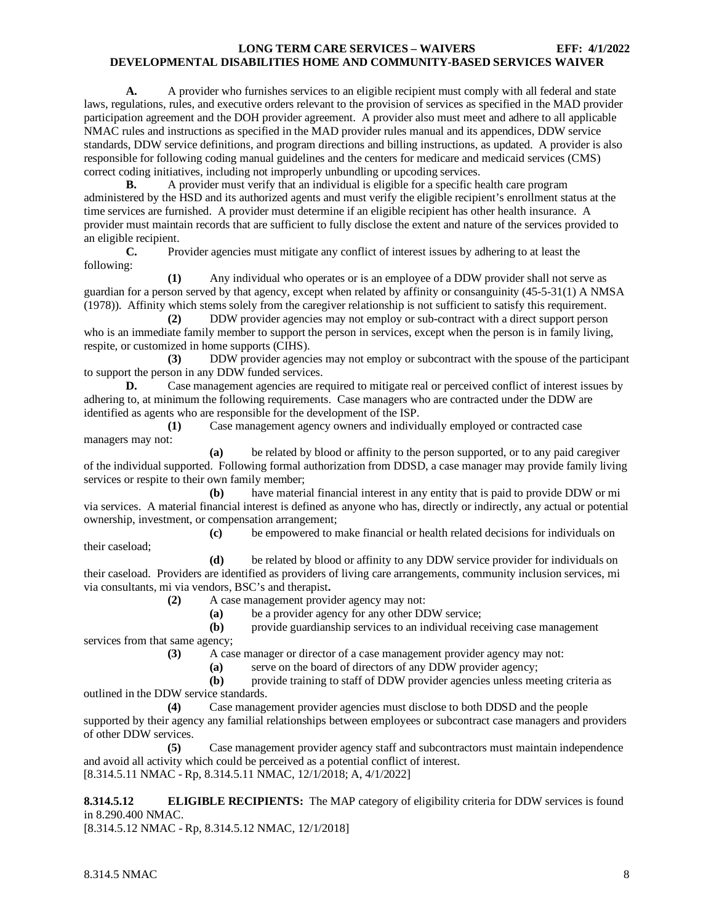**A.** A provider who furnishes services to an eligible recipient must comply with all federal and state laws, regulations, rules, and executive orders relevant to the provision of services as specified in the MAD provider participation agreement and the DOH provider agreement. A provider also must meet and adhere to all applicable NMAC rules and instructions as specified in the MAD provider rules manual and its appendices, DDW service standards, DDW service definitions, and program directions and billing instructions, as updated. A provider is also responsible for following coding manual guidelines and the centers for medicare and medicaid services (CMS) correct coding initiatives, including not improperly unbundling or upcoding services.

**B.** A provider must verify that an individual is eligible for a specific health care program administered by the HSD and its authorized agents and must verify the eligible recipient's enrollment status at the time services are furnished. A provider must determine if an eligible recipient has other health insurance. A provider must maintain records that are sufficient to fully disclose the extent and nature of the services provided to an eligible recipient.<br>
C. Pro

Provider agencies must mitigate any conflict of interest issues by adhering to at least the following:

**(1)** Any individual who operates or is an employee of a DDW provider shall not serve as guardian for a person served by that agency, except when related by affinity or consanguinity (45-5-31(1) A NMSA (1978)). Affinity which stems solely from the caregiver relationship is not sufficient to satisfy this requirement.

**(2)** DDW provider agencies may not employ or sub-contract with a direct support person who is an immediate family member to support the person in services, except when the person is in family living, respite, or customized in home supports (CIHS).

**(3)** DDW provider agencies may not employ or subcontract with the spouse of the participant to support the person in any DDW funded services.

**D.** Case management agencies are required to mitigate real or perceived conflict of interest issues by adhering to, at minimum the following requirements. Case managers who are contracted under the DDW are identified as agents who are responsible for the development of the ISP.

**(1)** Case management agency owners and individually employed or contracted case managers may not:

**(a)** be related by blood or affinity to the person supported, or to any paid caregiver of the individual supported. Following formal authorization from DDSD, a case manager may provide family living services or respite to their own family member;

**(b)** have material financial interest in any entity that is paid to provide DDW or mi via services. A material financial interest is defined as anyone who has, directly or indirectly, any actual or potential ownership, investment, or compensation arrangement;

**(c)** be empowered to make financial or health related decisions for individuals on

**(d)** be related by blood or affinity to any DDW service provider for individuals on their caseload. Providers are identified as providers of living care arrangements, community inclusion services, mi via consultants, mi via vendors, BSC's and therapist**.**

**(2)** A case management provider agency may not:

**(a)** be a provider agency for any other DDW service;

**(b)** provide guardianship services to an individual receiving case management services from that same agency;

**(3)** A case manager or director of a case management provider agency may not:

**(a)** serve on the board of directors of any DDW provider agency;

**(b)** provide training to staff of DDW provider agencies unless meeting criteria as outlined in the DDW service standards.

**(4)** Case management provider agencies must disclose to both DDSD and the people supported by their agency any familial relationships between employees or subcontract case managers and providers of other DDW services.

**(5)** Case management provider agency staff and subcontractors must maintain independence and avoid all activity which could be perceived as a potential conflict of interest. [8.314.5.11 NMAC - Rp, 8.314.5.11 NMAC, 12/1/2018; A, 4/1/2022]

<span id="page-8-0"></span>**8.314.5.12 ELIGIBLE RECIPIENTS:** The MAP category of eligibility criteria for DDW services is found in 8.290.400 NMAC.

[8.314.5.12 NMAC - Rp, 8.314.5.12 NMAC, 12/1/2018]

their caseload;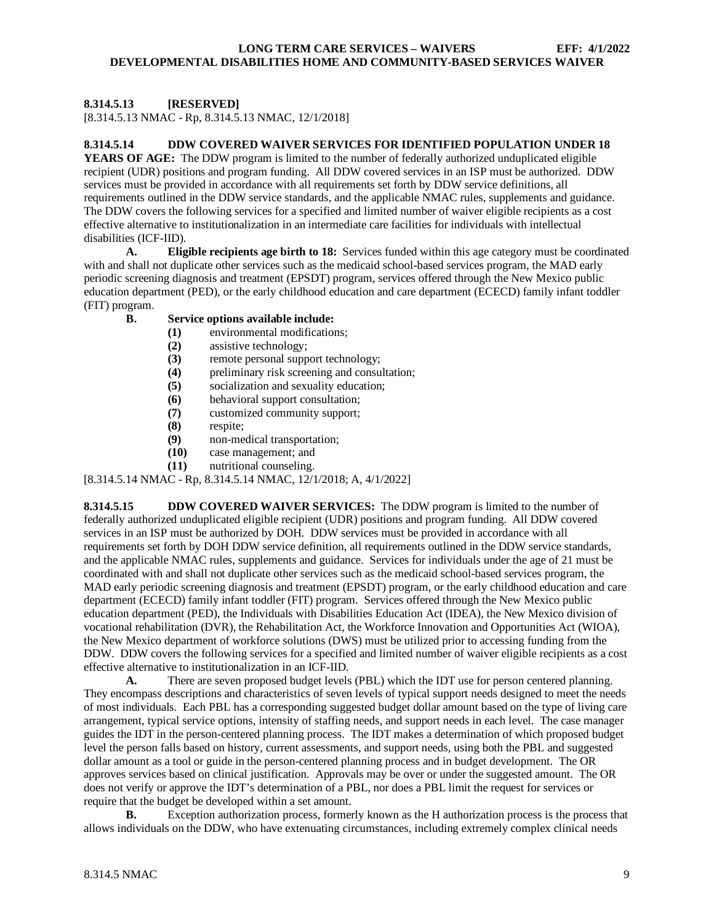## <span id="page-9-0"></span>**8.314.5.13 [RESERVED]**

[8.314.5.13 NMAC - Rp, 8.314.5.13 NMAC, 12/1/2018]

#### <span id="page-9-1"></span>**8.314.5.14 DDW COVERED WAIVER SERVICES FOR IDENTIFIED POPULATION UNDER 18**

**YEARS OF AGE:** The DDW program is limited to the number of federally authorized unduplicated eligible recipient (UDR) positions and program funding. All DDW covered services in an ISP must be authorized. DDW services must be provided in accordance with all requirements set forth by DDW service definitions, all requirements outlined in the DDW service standards, and the applicable NMAC rules, supplements and guidance. The DDW covers the following services for a specified and limited number of waiver eligible recipients as a cost effective alternative to institutionalization in an intermediate care facilities for individuals with intellectual disabilities (ICF-IID).<br>**A.** Elig

**A. Eligible recipients age birth to 18:** Services funded within this age category must be coordinated with and shall not duplicate other services such as the medicaid school-based services program, the MAD early periodic screening diagnosis and treatment (EPSDT) program, services offered through the New Mexico public education department (PED), or the early childhood education and care department (ECECD) family infant toddler (FIT) program.

- **B. Service options available include:**
	- **(1)** environmental modifications;
	- **(2)** assistive technology;
	- remote personal support technology;
	- **(4)** preliminary risk screening and consultation;
	- **(5)** socialization and sexuality education;
	- **(6)** behavioral support consultation;
	- **(7)** customized community support;
	- **(8)** respite;
	- **(9)** non-medical transportation;
	- **(10)** case management; and
	- **(11)** nutritional counseling.

[8.314.5.14 NMAC - Rp, 8.314.5.14 NMAC, 12/1/2018; A, 4/1/2022]

<span id="page-9-2"></span>**8.314.5.15 DDW COVERED WAIVER SERVICES:** The DDW program is limited to the number of federally authorized unduplicated eligible recipient (UDR) positions and program funding. All DDW covered services in an ISP must be authorized by DOH. DDW services must be provided in accordance with all requirements set forth by DOH DDW service definition, all requirements outlined in the DDW service standards, and the applicable NMAC rules, supplements and guidance. Services for individuals under the age of 21 must be coordinated with and shall not duplicate other services such as the medicaid school-based services program, the MAD early periodic screening diagnosis and treatment (EPSDT) program, or the early childhood education and care department (ECECD) family infant toddler (FIT) program. Services offered through the New Mexico public education department (PED), the Individuals with Disabilities Education Act (IDEA), the New Mexico division of vocational rehabilitation (DVR), the Rehabilitation Act, the Workforce Innovation and Opportunities Act (WIOA), the New Mexico department of workforce solutions (DWS) must be utilized prior to accessing funding from the DDW. DDW covers the following services for a specified and limited number of waiver eligible recipients as a cost effective alternative to institutionalization in an ICF-IID.

**A.** There are seven proposed budget levels (PBL) which the IDT use for person centered planning. They encompass descriptions and characteristics of seven levels of typical support needs designed to meet the needs of most individuals. Each PBL has a corresponding suggested budget dollar amount based on the type of living care arrangement, typical service options, intensity of staffing needs, and support needs in each level. The case manager guides the IDT in the person-centered planning process. The IDT makes a determination of which proposed budget level the person falls based on history, current assessments, and support needs, using both the PBL and suggested dollar amount as a tool or guide in the person-centered planning process and in budget development. The OR approves services based on clinical justification. Approvals may be over or under the suggested amount. The OR does not verify or approve the IDT's determination of a PBL, nor does a PBL limit the request for services or require that the budget be developed within a set amount.

**B.** Exception authorization process, formerly known as the H authorization process is the process that allows individuals on the DDW, who have extenuating circumstances, including extremely complex clinical needs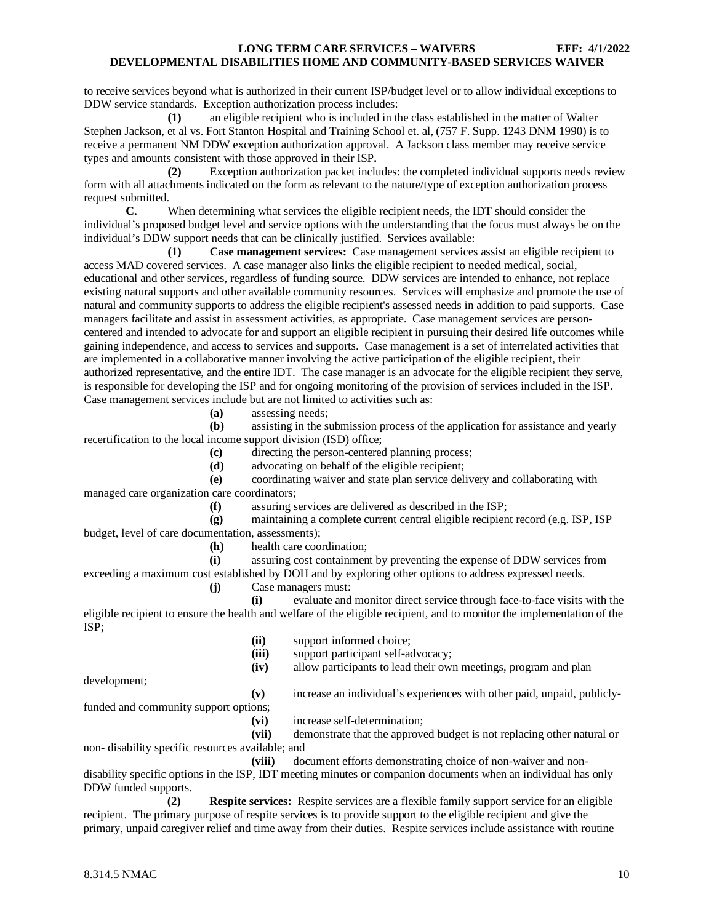to receive services beyond what is authorized in their current ISP/budget level or to allow individual exceptions to DDW service standards. Exception authorization process includes:

**(1)** an eligible recipient who is included in the class established in the matter of Walter Stephen Jackson, et al vs. Fort Stanton Hospital and Training School et. al, (757 F. Supp. 1243 DNM 1990) is to receive a permanent NM DDW exception authorization approval. A Jackson class member may receive service types and amounts consistent with those approved in their ISP**.**

**(2)** Exception authorization packet includes: the completed individual supports needs review form with all attachments indicated on the form as relevant to the nature/type of exception authorization process request submitted.

**C.** When determining what services the eligible recipient needs, the IDT should consider the individual's proposed budget level and service options with the understanding that the focus must always be on the individual's DDW support needs that can be clinically justified. Services available:

**(1) Case management services:** Case management services assist an eligible recipient to access MAD covered services. A case manager also links the eligible recipient to needed medical, social, educational and other services, regardless of funding source. DDW services are intended to enhance, not replace existing natural supports and other available community resources. Services will emphasize and promote the use of natural and community supports to address the eligible recipient's assessed needs in addition to paid supports. Case managers facilitate and assist in assessment activities, as appropriate. Case management services are personcentered and intended to advocate for and support an eligible recipient in pursuing their desired life outcomes while gaining independence, and access to services and supports. Case management is a set of interrelated activities that are implemented in a collaborative manner involving the active participation of the eligible recipient, their authorized representative, and the entire IDT. The case manager is an advocate for the eligible recipient they serve, is responsible for developing the ISP and for ongoing monitoring of the provision of services included in the ISP. Case management services include but are not limited to activities such as:

**(a)** assessing needs;

**(b)** assisting in the submission process of the application for assistance and yearly recertification to the local income support division (ISD) office;

- **(c)** directing the person-centered planning process;
- **(d)** advocating on behalf of the eligible recipient;

**(e)** coordinating waiver and state plan service delivery and collaborating with managed care organization care coordinators;

**(f)** assuring services are delivered as described in the ISP;

**(g)** maintaining a complete current central eligible recipient record (e.g. ISP, ISP budget, level of care documentation, assessments);

**(h)** health care coordination;

**(i)** assuring cost containment by preventing the expense of DDW services from exceeding a maximum cost established by DOH and by exploring other options to address expressed needs.

**(j)** Case managers must:

**(i)** evaluate and monitor direct service through face-to-face visits with the eligible recipient to ensure the health and welfare of the eligible recipient, and to monitor the implementation of the ISP;

(ii) support informed choice;<br>(iii) support participant self-ac support participant self-advocacy; **(iv)** allow participants to lead their own meetings, program and plan development;

**(v)** increase an individual's experiences with other paid, unpaid, publicly-

funded and community support options;

**(vi)** increase self-determination;

**(vii)** demonstrate that the approved budget is not replacing other natural or non- disability specific resources available; and

**(viii)** document efforts demonstrating choice of non-waiver and nondisability specific options in the ISP, IDT meeting minutes or companion documents when an individual has only DDW funded supports.

**(2) Respite services:** Respite services are a flexible family support service for an eligible recipient. The primary purpose of respite services is to provide support to the eligible recipient and give the primary, unpaid caregiver relief and time away from their duties. Respite services include assistance with routine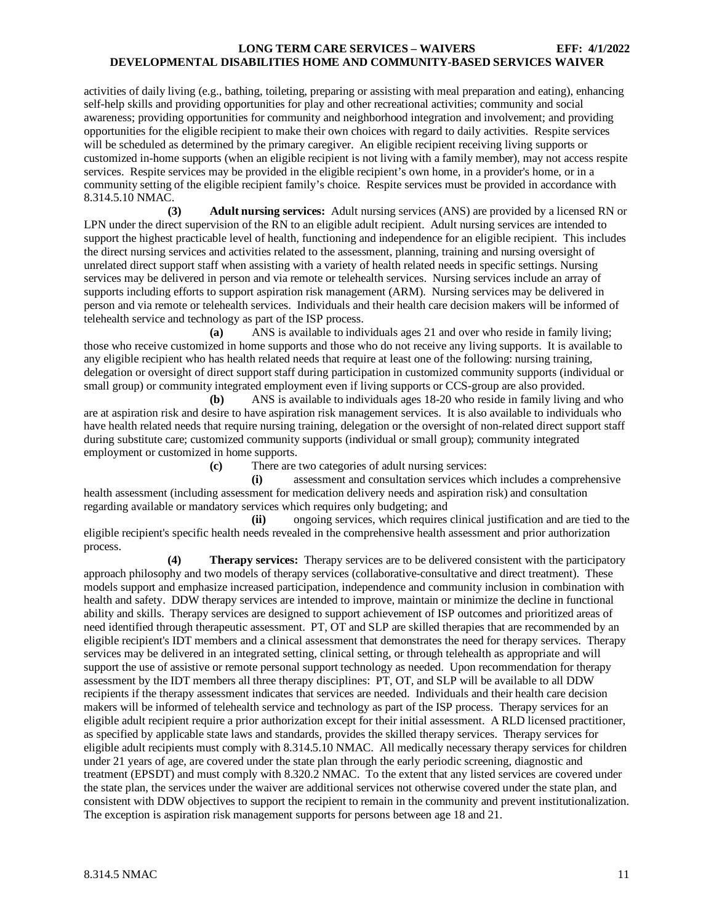activities of daily living (e.g., bathing, toileting, preparing or assisting with meal preparation and eating), enhancing self-help skills and providing opportunities for play and other recreational activities; community and social awareness; providing opportunities for community and neighborhood integration and involvement; and providing opportunities for the eligible recipient to make their own choices with regard to daily activities. Respite services will be scheduled as determined by the primary caregiver. An eligible recipient receiving living supports or customized in-home supports (when an eligible recipient is not living with a family member), may not access respite services. Respite services may be provided in the eligible recipient's own home, in a provider's home, or in a community setting of the eligible recipient family's choice. Respite services must be provided in accordance with 8.314.5.10 NMAC.

**(3) Adult nursing services:** Adult nursing services (ANS) are provided by a licensed RN or LPN under the direct supervision of the RN to an eligible adult recipient. Adult nursing services are intended to support the highest practicable level of health, functioning and independence for an eligible recipient. This includes the direct nursing services and activities related to the assessment, planning, training and nursing oversight of unrelated direct support staff when assisting with a variety of health related needs in specific settings. Nursing services may be delivered in person and via remote or telehealth services. Nursing services include an array of supports including efforts to support aspiration risk management (ARM). Nursing services may be delivered in person and via remote or telehealth services. Individuals and their health care decision makers will be informed of telehealth service and technology as part of the ISP process.

**(a)** ANS is available to individuals ages 21 and over who reside in family living; those who receive customized in home supports and those who do not receive any living supports. It is available to any eligible recipient who has health related needs that require at least one of the following: nursing training, delegation or oversight of direct support staff during participation in customized community supports (individual or small group) or community integrated employment even if living supports or CCS-group are also provided.

**(b)** ANS is available to individuals ages 18-20 who reside in family living and who are at aspiration risk and desire to have aspiration risk management services. It is also available to individuals who have health related needs that require nursing training, delegation or the oversight of non-related direct support staff during substitute care; customized community supports (individual or small group); community integrated employment or customized in home supports.

**(c)** There are two categories of adult nursing services:

**(i)** assessment and consultation services which includes a comprehensive health assessment (including assessment for medication delivery needs and aspiration risk) and consultation regarding available or mandatory services which requires only budgeting; and

**(ii)** ongoing services, which requires clinical justification and are tied to the eligible recipient's specific health needs revealed in the comprehensive health assessment and prior authorization process.

**(4) Therapy services:** Therapy services are to be delivered consistent with the participatory approach philosophy and two models of therapy services (collaborative-consultative and direct treatment). These models support and emphasize increased participation, independence and community inclusion in combination with health and safety. DDW therapy services are intended to improve, maintain or minimize the decline in functional ability and skills. Therapy services are designed to support achievement of ISP outcomes and prioritized areas of need identified through therapeutic assessment. PT, OT and SLP are skilled therapies that are recommended by an eligible recipient's IDT members and a clinical assessment that demonstrates the need for therapy services. Therapy services may be delivered in an integrated setting, clinical setting, or through telehealth as appropriate and will support the use of assistive or remote personal support technology as needed. Upon recommendation for therapy assessment by the IDT members all three therapy disciplines: PT, OT, and SLP will be available to all DDW recipients if the therapy assessment indicates that services are needed. Individuals and their health care decision makers will be informed of telehealth service and technology as part of the ISP process. Therapy services for an eligible adult recipient require a prior authorization except for their initial assessment. A RLD licensed practitioner, as specified by applicable state laws and standards, provides the skilled therapy services. Therapy services for eligible adult recipients must comply with 8.314.5.10 NMAC. All medically necessary therapy services for children under 21 years of age, are covered under the state plan through the early periodic screening, diagnostic and treatment (EPSDT) and must comply with 8.320.2 NMAC. To the extent that any listed services are covered under the state plan, the services under the waiver are additional services not otherwise covered under the state plan, and consistent with DDW objectives to support the recipient to remain in the community and prevent institutionalization. The exception is aspiration risk management supports for persons between age 18 and 21.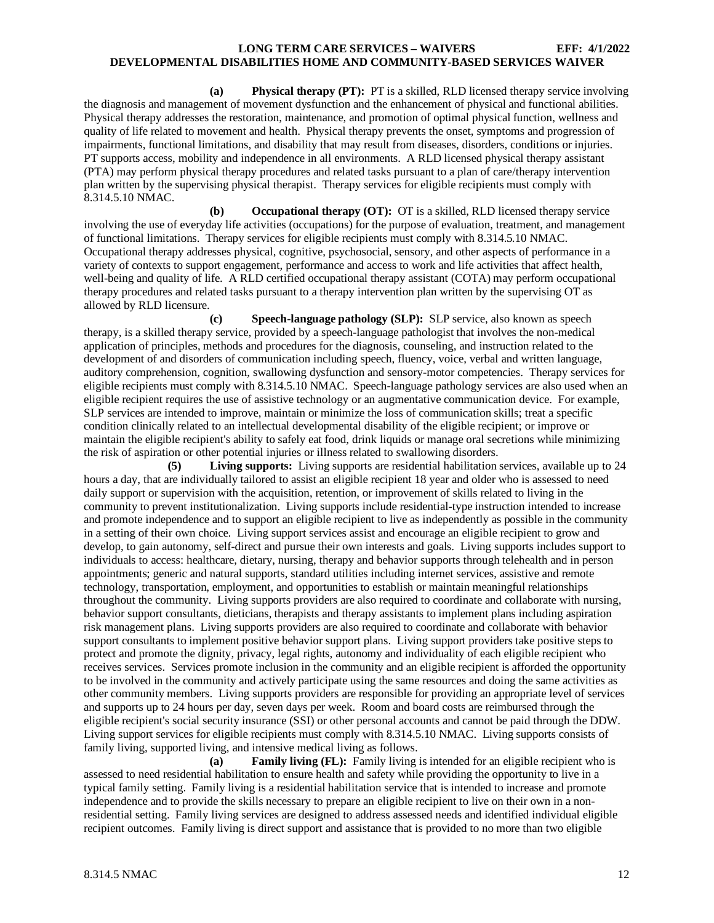**(a) Physical therapy (PT):** PT is a skilled, RLD licensed therapy service involving the diagnosis and management of movement dysfunction and the enhancement of physical and functional abilities. Physical therapy addresses the restoration, maintenance, and promotion of optimal physical function, wellness and quality of life related to movement and health. Physical therapy prevents the onset, symptoms and progression of impairments, functional limitations, and disability that may result from diseases, disorders, conditions or injuries. PT supports access, mobility and independence in all environments. A RLD licensed physical therapy assistant (PTA) may perform physical therapy procedures and related tasks pursuant to a plan of care/therapy intervention plan written by the supervising physical therapist. Therapy services for eligible recipients must comply with 8.314.5.10 NMAC.

**(b) Occupational therapy (OT):** OT is a skilled, RLD licensed therapy service involving the use of everyday life activities (occupations) for the purpose of evaluation, treatment, and management of functional limitations. Therapy services for eligible recipients must comply with 8.314.5.10 NMAC. Occupational therapy addresses physical, cognitive, psychosocial, sensory, and other aspects of performance in a variety of contexts to support engagement, performance and access to work and life activities that affect health, well-being and quality of life. A RLD certified occupational therapy assistant (COTA) may perform occupational therapy procedures and related tasks pursuant to a therapy intervention plan written by the supervising OT as allowed by RLD licensure.

**(c) Speech-language pathology (SLP):** SLP service, also known as speech therapy, is a skilled therapy service, provided by a speech-language pathologist that involves the non-medical application of principles, methods and procedures for the diagnosis, counseling, and instruction related to the development of and disorders of communication including speech, fluency, voice, verbal and written language, auditory comprehension, cognition, swallowing dysfunction and sensory-motor competencies. Therapy services for eligible recipients must comply with 8.314.5.10 NMAC. Speech-language pathology services are also used when an eligible recipient requires the use of assistive technology or an augmentative communication device. For example, SLP services are intended to improve, maintain or minimize the loss of communication skills; treat a specific condition clinically related to an intellectual developmental disability of the eligible recipient; or improve or maintain the eligible recipient's ability to safely eat food, drink liquids or manage oral secretions while minimizing the risk of aspiration or other potential injuries or illness related to swallowing disorders.

**(5) Living supports:** Living supports are residential habilitation services, available up to 24 hours a day, that are individually tailored to assist an eligible recipient 18 year and older who is assessed to need daily support or supervision with the acquisition, retention, or improvement of skills related to living in the community to prevent institutionalization. Living supports include residential-type instruction intended to increase and promote independence and to support an eligible recipient to live as independently as possible in the community in a setting of their own choice. Living support services assist and encourage an eligible recipient to grow and develop, to gain autonomy, self-direct and pursue their own interests and goals. Living supports includes support to individuals to access: healthcare, dietary, nursing, therapy and behavior supports through telehealth and in person appointments; generic and natural supports, standard utilities including internet services, assistive and remote technology, transportation, employment, and opportunities to establish or maintain meaningful relationships throughout the community. Living supports providers are also required to coordinate and collaborate with nursing, behavior support consultants, dieticians, therapists and therapy assistants to implement plans including aspiration risk management plans. Living supports providers are also required to coordinate and collaborate with behavior support consultants to implement positive behavior support plans. Living support providers take positive steps to protect and promote the dignity, privacy, legal rights, autonomy and individuality of each eligible recipient who receives services. Services promote inclusion in the community and an eligible recipient is afforded the opportunity to be involved in the community and actively participate using the same resources and doing the same activities as other community members. Living supports providers are responsible for providing an appropriate level of services and supports up to 24 hours per day, seven days per week. Room and board costs are reimbursed through the eligible recipient's social security insurance (SSI) or other personal accounts and cannot be paid through the DDW. Living support services for eligible recipients must comply with 8.314.5.10 NMAC. Living supports consists of family living, supported living, and intensive medical living as follows.

**(a) Family living (FL):** Family living is intended for an eligible recipient who is assessed to need residential habilitation to ensure health and safety while providing the opportunity to live in a typical family setting. Family living is a residential habilitation service that is intended to increase and promote independence and to provide the skills necessary to prepare an eligible recipient to live on their own in a nonresidential setting. Family living services are designed to address assessed needs and identified individual eligible recipient outcomes. Family living is direct support and assistance that is provided to no more than two eligible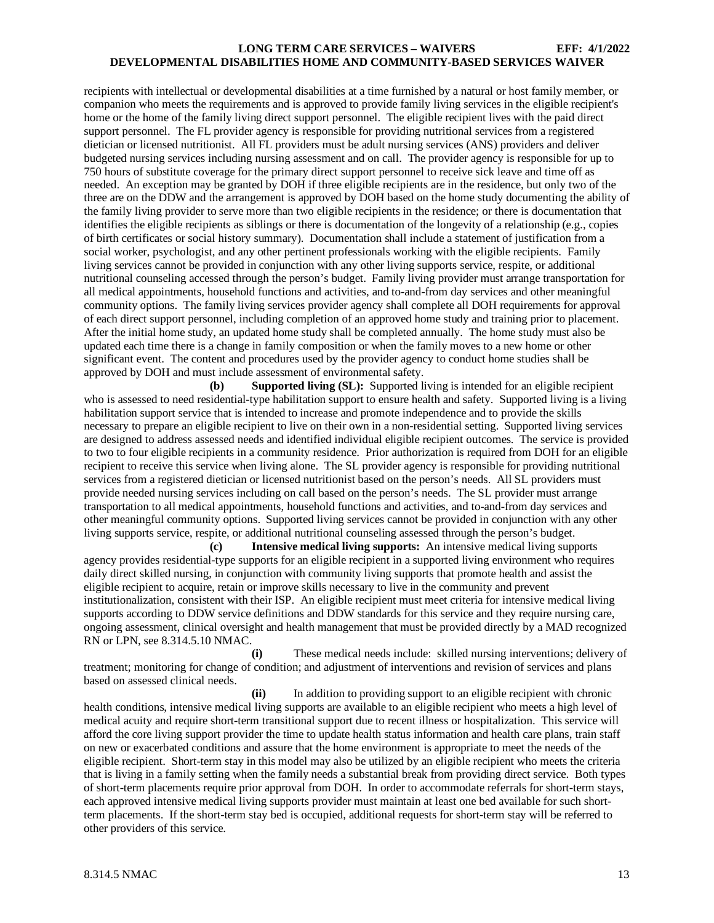recipients with intellectual or developmental disabilities at a time furnished by a natural or host family member, or companion who meets the requirements and is approved to provide family living services in the eligible recipient's home or the home of the family living direct support personnel. The eligible recipient lives with the paid direct support personnel. The FL provider agency is responsible for providing nutritional services from a registered dietician or licensed nutritionist. All FL providers must be adult nursing services (ANS) providers and deliver budgeted nursing services including nursing assessment and on call. The provider agency is responsible for up to 750 hours of substitute coverage for the primary direct support personnel to receive sick leave and time off as needed. An exception may be granted by DOH if three eligible recipients are in the residence, but only two of the three are on the DDW and the arrangement is approved by DOH based on the home study documenting the ability of the family living provider to serve more than two eligible recipients in the residence; or there is documentation that identifies the eligible recipients as siblings or there is documentation of the longevity of a relationship (e.g., copies of birth certificates or social history summary). Documentation shall include a statement of justification from a social worker, psychologist, and any other pertinent professionals working with the eligible recipients. Family living services cannot be provided in conjunction with any other living supports service, respite, or additional nutritional counseling accessed through the person's budget. Family living provider must arrange transportation for all medical appointments, household functions and activities, and to-and-from day services and other meaningful community options. The family living services provider agency shall complete all DOH requirements for approval of each direct support personnel, including completion of an approved home study and training prior to placement. After the initial home study, an updated home study shall be completed annually. The home study must also be updated each time there is a change in family composition or when the family moves to a new home or other significant event. The content and procedures used by the provider agency to conduct home studies shall be approved by DOH and must include assessment of environmental safety.

**(b) Supported living (SL):** Supported living is intended for an eligible recipient who is assessed to need residential-type habilitation support to ensure health and safety. Supported living is a living habilitation support service that is intended to increase and promote independence and to provide the skills necessary to prepare an eligible recipient to live on their own in a non-residential setting. Supported living services are designed to address assessed needs and identified individual eligible recipient outcomes. The service is provided to two to four eligible recipients in a community residence. Prior authorization is required from DOH for an eligible recipient to receive this service when living alone. The SL provider agency is responsible for providing nutritional services from a registered dietician or licensed nutritionist based on the person's needs. All SL providers must provide needed nursing services including on call based on the person's needs. The SL provider must arrange transportation to all medical appointments, household functions and activities, and to-and-from day services and other meaningful community options. Supported living services cannot be provided in conjunction with any other living supports service, respite, or additional nutritional counseling assessed through the person's budget.

**(c) Intensive medical living supports:** An intensive medical living supports agency provides residential-type supports for an eligible recipient in a supported living environment who requires daily direct skilled nursing, in conjunction with community living supports that promote health and assist the eligible recipient to acquire, retain or improve skills necessary to live in the community and prevent institutionalization, consistent with their ISP. An eligible recipient must meet criteria for intensive medical living supports according to DDW service definitions and DDW standards for this service and they require nursing care, ongoing assessment, clinical oversight and health management that must be provided directly by a MAD recognized RN or LPN, see 8.314.5.10 NMAC.<br>(i)

**(i)** These medical needs include: skilled nursing interventions; delivery of treatment; monitoring for change of condition; and adjustment of interventions and revision of services and plans based on assessed clinical needs.

**(ii)** In addition to providing support to an eligible recipient with chronic health conditions, intensive medical living supports are available to an eligible recipient who meets a high level of medical acuity and require short-term transitional support due to recent illness or hospitalization. This service will afford the core living support provider the time to update health status information and health care plans, train staff on new or exacerbated conditions and assure that the home environment is appropriate to meet the needs of the eligible recipient. Short-term stay in this model may also be utilized by an eligible recipient who meets the criteria that is living in a family setting when the family needs a substantial break from providing direct service. Both types of short-term placements require prior approval from DOH. In order to accommodate referrals for short-term stays, each approved intensive medical living supports provider must maintain at least one bed available for such shortterm placements. If the short-term stay bed is occupied, additional requests for short-term stay will be referred to other providers of this service.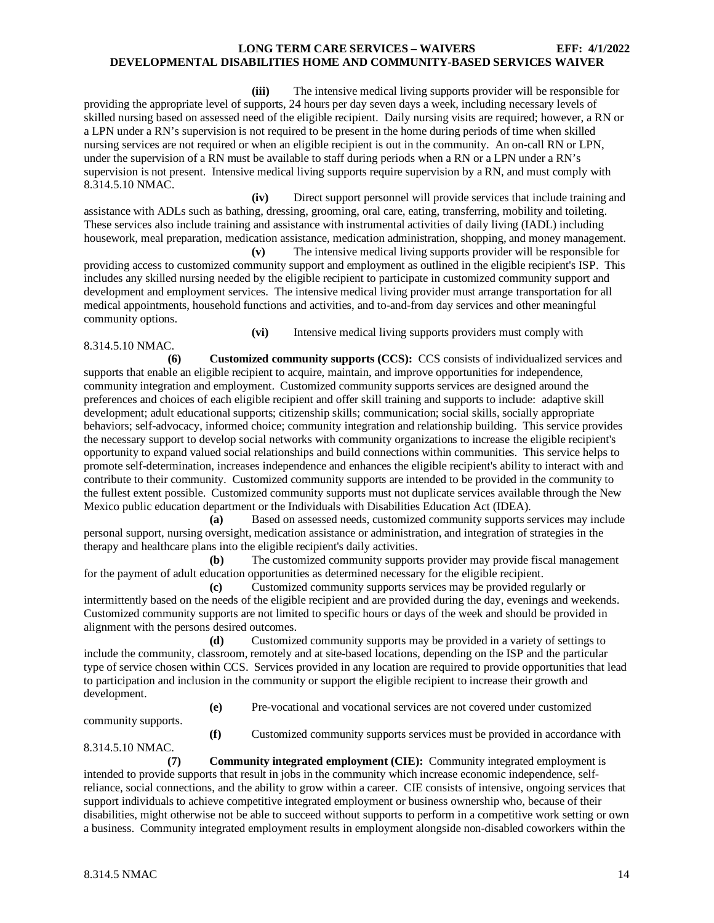**(iii)** The intensive medical living supports provider will be responsible for providing the appropriate level of supports, 24 hours per day seven days a week, including necessary levels of skilled nursing based on assessed need of the eligible recipient. Daily nursing visits are required; however, a RN or a LPN under a RN's supervision is not required to be present in the home during periods of time when skilled nursing services are not required or when an eligible recipient is out in the community. An on-call RN or LPN, under the supervision of a RN must be available to staff during periods when a RN or a LPN under a RN's supervision is not present. Intensive medical living supports require supervision by a RN, and must comply with 8.314.5.10 NMAC.

**(iv)** Direct support personnel will provide services that include training and assistance with ADLs such as bathing, dressing, grooming, oral care, eating, transferring, mobility and toileting. These services also include training and assistance with instrumental activities of daily living (IADL) including housework, meal preparation, medication assistance, medication administration, shopping, and money management.

**(v)** The intensive medical living supports provider will be responsible for providing access to customized community support and employment as outlined in the eligible recipient's ISP. This includes any skilled nursing needed by the eligible recipient to participate in customized community support and development and employment services. The intensive medical living provider must arrange transportation for all medical appointments, household functions and activities, and to-and-from day services and other meaningful community options.

**(vi)** Intensive medical living supports providers must comply with 8.314.5.10 NMAC.

**(6) Customized community supports (CCS):** CCS consists of individualized services and supports that enable an eligible recipient to acquire, maintain, and improve opportunities for independence, community integration and employment. Customized community supports services are designed around the preferences and choices of each eligible recipient and offer skill training and supports to include: adaptive skill development; adult educational supports; citizenship skills; communication; social skills, socially appropriate behaviors; self-advocacy, informed choice; community integration and relationship building. This service provides the necessary support to develop social networks with community organizations to increase the eligible recipient's opportunity to expand valued social relationships and build connections within communities. This service helps to promote self-determination, increases independence and enhances the eligible recipient's ability to interact with and contribute to their community. Customized community supports are intended to be provided in the community to the fullest extent possible. Customized community supports must not duplicate services available through the New Mexico public education department or the Individuals with Disabilities Education Act (IDEA).

**(a)** Based on assessed needs, customized community supports services may include personal support, nursing oversight, medication assistance or administration, and integration of strategies in the therapy and healthcare plans into the eligible recipient's daily activities.

**(b)** The customized community supports provider may provide fiscal management for the payment of adult education opportunities as determined necessary for the eligible recipient.

**(c)** Customized community supports services may be provided regularly or intermittently based on the needs of the eligible recipient and are provided during the day, evenings and weekends. Customized community supports are not limited to specific hours or days of the week and should be provided in alignment with the persons desired outcomes.

**(d)** Customized community supports may be provided in a variety of settings to include the community, classroom, remotely and at site-based locations, depending on the ISP and the particular type of service chosen within CCS. Services provided in any location are required to provide opportunities that lead to participation and inclusion in the community or support the eligible recipient to increase their growth and development.

**(e)** Pre-vocational and vocational services are not covered under customized

community supports.

**(f)** Customized community supports services must be provided in accordance with

8.314.5.10 NMAC.

**(7) Community integrated employment (CIE):** Community integrated employment is intended to provide supports that result in jobs in the community which increase economic independence, selfreliance, social connections, and the ability to grow within a career. CIE consists of intensive, ongoing services that support individuals to achieve competitive integrated employment or business ownership who, because of their disabilities, might otherwise not be able to succeed without supports to perform in a competitive work setting or own a business. Community integrated employment results in employment alongside non-disabled coworkers within the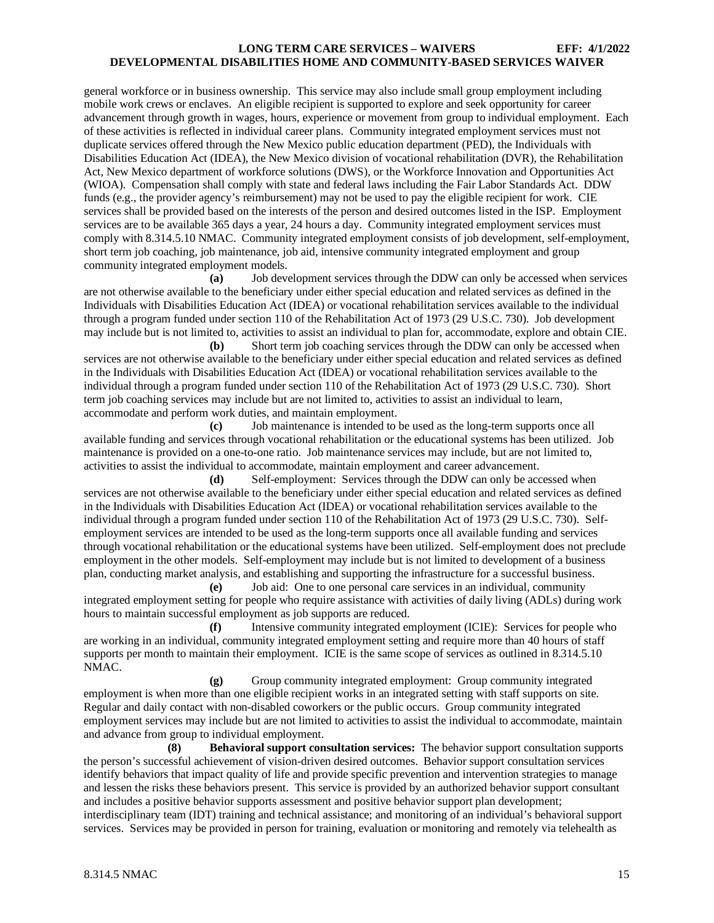general workforce or in business ownership. This service may also include small group employment including mobile work crews or enclaves. An eligible recipient is supported to explore and seek opportunity for career advancement through growth in wages, hours, experience or movement from group to individual employment. Each of these activities is reflected in individual career plans. Community integrated employment services must not duplicate services offered through the New Mexico public education department (PED), the Individuals with Disabilities Education Act (IDEA), the New Mexico division of vocational rehabilitation (DVR), the Rehabilitation Act, New Mexico department of workforce solutions (DWS), or the Workforce Innovation and Opportunities Act (WIOA). Compensation shall comply with state and federal laws including the Fair Labor Standards Act. DDW funds (e.g., the provider agency's reimbursement) may not be used to pay the eligible recipient for work. CIE services shall be provided based on the interests of the person and desired outcomes listed in the ISP. Employment services are to be available 365 days a year, 24 hours a day. Community integrated employment services must comply with 8.314.5.10 NMAC. Community integrated employment consists of job development, self-employment, short term job coaching, job maintenance, job aid, intensive community integrated employment and group community integrated employment models.

**(a)** Job development services through the DDW can only be accessed when services are not otherwise available to the beneficiary under either special education and related services as defined in the Individuals with Disabilities Education Act (IDEA) or vocational rehabilitation services available to the individual through a program funded under section 110 of the Rehabilitation Act of 1973 (29 U.S.C. 730). Job development may include but is not limited to, activities to assist an individual to plan for, accommodate, explore and obtain CIE.

**(b)** Short term job coaching services through the DDW can only be accessed when services are not otherwise available to the beneficiary under either special education and related services as defined in the Individuals with Disabilities Education Act (IDEA) or vocational rehabilitation services available to the individual through a program funded under section 110 of the Rehabilitation Act of 1973 (29 U.S.C. 730). Short term job coaching services may include but are not limited to, activities to assist an individual to learn, accommodate and perform work duties, and maintain employment.

**(c)** Job maintenance is intended to be used as the long-term supports once all available funding and services through vocational rehabilitation or the educational systems has been utilized. Job maintenance is provided on a one-to-one ratio. Job maintenance services may include, but are not limited to, activities to assist the individual to accommodate, maintain employment and career advancement.

**(d)** Self-employment: Services through the DDW can only be accessed when services are not otherwise available to the beneficiary under either special education and related services as defined in the Individuals with Disabilities Education Act (IDEA) or vocational rehabilitation services available to the individual through a program funded under section 110 of the Rehabilitation Act of 1973 (29 U.S.C. 730). Selfemployment services are intended to be used as the long-term supports once all available funding and services through vocational rehabilitation or the educational systems have been utilized. Self-employment does not preclude employment in the other models. Self-employment may include but is not limited to development of a business plan, conducting market analysis, and establishing and supporting the infrastructure for a successful business.

**(e)** Job aid: One to one personal care services in an individual, community integrated employment setting for people who require assistance with activities of daily living (ADLs) during work hours to maintain successful employment as job supports are reduced.

**(f)** Intensive community integrated employment (ICIE): Services for people who are working in an individual, community integrated employment setting and require more than 40 hours of staff supports per month to maintain their employment. ICIE is the same scope of services as outlined in 8.314.5.10 NMAC.

**(g)** Group community integrated employment: Group community integrated employment is when more than one eligible recipient works in an integrated setting with staff supports on site. Regular and daily contact with non-disabled coworkers or the public occurs. Group community integrated employment services may include but are not limited to activities to assist the individual to accommodate, maintain and advance from group to individual employment.

**(8) Behavioral support consultation services:** The behavior support consultation supports the person's successful achievement of vision-driven desired outcomes. Behavior support consultation services identify behaviors that impact quality of life and provide specific prevention and intervention strategies to manage and lessen the risks these behaviors present. This service is provided by an authorized behavior support consultant and includes a positive behavior supports assessment and positive behavior support plan development; interdisciplinary team (IDT) training and technical assistance; and monitoring of an individual's behavioral support services. Services may be provided in person for training, evaluation or monitoring and remotely via telehealth as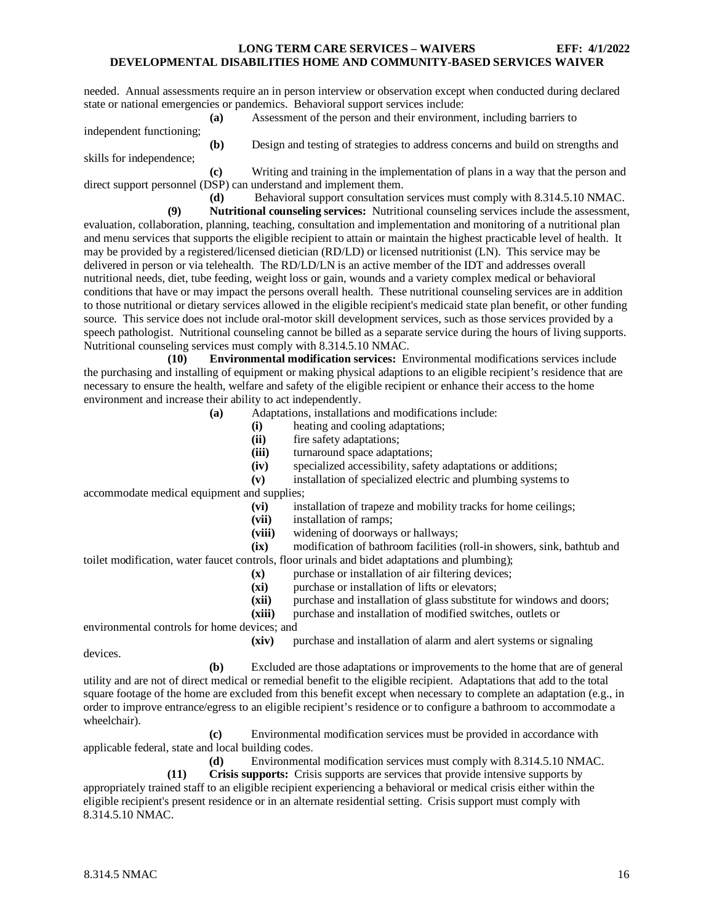needed. Annual assessments require an in person interview or observation except when conducted during declared state or national emergencies or pandemics. Behavioral support services include:

**(a)** Assessment of the person and their environment, including barriers to

independent functioning;

**(b)** Design and testing of strategies to address concerns and build on strengths and skills for independence;

**(c)** Writing and training in the implementation of plans in a way that the person and direct support personnel (DSP) can understand and implement them.<br>
(d) Behavioral support consultation

Behavioral support consultation services must comply with 8.314.5.10 NMAC.

**(9) Nutritional counseling services:** Nutritional counseling services include the assessment, evaluation, collaboration, planning, teaching, consultation and implementation and monitoring of a nutritional plan and menu services that supports the eligible recipient to attain or maintain the highest practicable level of health. It may be provided by a registered/licensed dietician (RD/LD) or licensed nutritionist (LN). This service may be delivered in person or via telehealth. The RD/LD/LN is an active member of the IDT and addresses overall nutritional needs, diet, tube feeding, weight loss or gain, wounds and a variety complex medical or behavioral conditions that have or may impact the persons overall health. These nutritional counseling services are in addition to those nutritional or dietary services allowed in the eligible recipient's medicaid state plan benefit, or other funding source. This service does not include oral-motor skill development services, such as those services provided by a speech pathologist. Nutritional counseling cannot be billed as a separate service during the hours of living supports. Nutritional counseling services must comply with 8.314.5.10 NMAC.

**(10) Environmental modification services:** Environmental modifications services include the purchasing and installing of equipment or making physical adaptions to an eligible recipient's residence that are necessary to ensure the health, welfare and safety of the eligible recipient or enhance their access to the home environment and increase their ability to act independently.

- **(a)** Adaptations, installations and modifications include:
	- **(i)** heating and cooling adaptations;
	- **(ii)** fire safety adaptations;
	- **(iii)** turnaround space adaptations;
	- **(iv)** specialized accessibility, safety adaptations or additions;
	- **(v)** installation of specialized electric and plumbing systems to

accommodate medical equipment and supplies;

- **(vi)** installation of trapeze and mobility tracks for home ceilings;
- **(vii)** installation of ramps;
- widening of doorways or hallways;

**(ix)** modification of bathroom facilities (roll-in showers, sink, bathtub and toilet modification, water faucet controls, floor urinals and bidet adaptations and plumbing);

- **(x)** purchase or installation of air filtering devices;
- **(xi)** purchase or installation of lifts or elevators;
- **(xii)** purchase and installation of glass substitute for windows and doors;
- **(xiii)** purchase and installation of modified switches, outlets or

environmental controls for home devices; and

**(xiv)** purchase and installation of alarm and alert systems or signaling

devices.

**(b)** Excluded are those adaptations or improvements to the home that are of general utility and are not of direct medical or remedial benefit to the eligible recipient. Adaptations that add to the total square footage of the home are excluded from this benefit except when necessary to complete an adaptation (e.g., in order to improve entrance/egress to an eligible recipient's residence or to configure a bathroom to accommodate a wheelchair).

**(c)** Environmental modification services must be provided in accordance with applicable federal, state and local building codes.

**(d)** Environmental modification services must comply with 8.314.5.10 NMAC.

**(11) Crisis supports:** Crisis supports are services that provide intensive supports by appropriately trained staff to an eligible recipient experiencing a behavioral or medical crisis either within the eligible recipient's present residence or in an alternate residential setting. Crisis support must comply with 8.314.5.10 NMAC.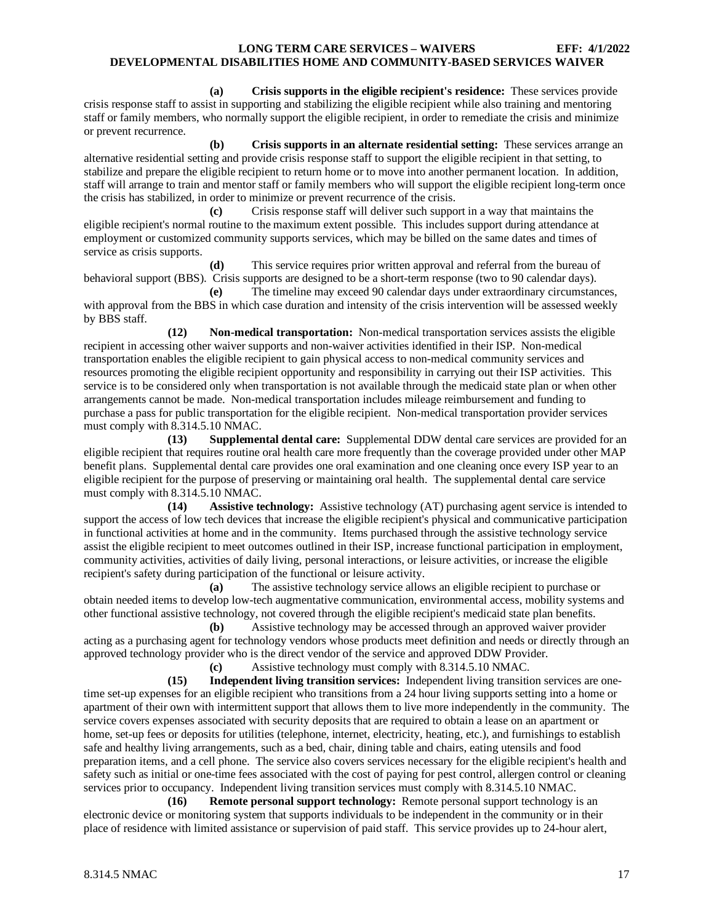**(a) Crisis supports in the eligible recipient's residence:** These services provide crisis response staff to assist in supporting and stabilizing the eligible recipient while also training and mentoring staff or family members, who normally support the eligible recipient, in order to remediate the crisis and minimize or prevent recurrence.

**(b) Crisis supports in an alternate residential setting:** These services arrange an alternative residential setting and provide crisis response staff to support the eligible recipient in that setting, to stabilize and prepare the eligible recipient to return home or to move into another permanent location. In addition, staff will arrange to train and mentor staff or family members who will support the eligible recipient long-term once the crisis has stabilized, in order to minimize or prevent recurrence of the crisis.

**(c)** Crisis response staff will deliver such support in a way that maintains the eligible recipient's normal routine to the maximum extent possible. This includes support during attendance at employment or customized community supports services, which may be billed on the same dates and times of service as crisis supports.

**(d)** This service requires prior written approval and referral from the bureau of behavioral support (BBS). Crisis supports are designed to be a short-term response (two to 90 calendar days).

**(e)** The timeline may exceed 90 calendar days under extraordinary circumstances, with approval from the BBS in which case duration and intensity of the crisis intervention will be assessed weekly by BBS staff.

**(12) Non-medical transportation:** Non-medical transportation services assists the eligible recipient in accessing other waiver supports and non-waiver activities identified in their ISP. Non-medical transportation enables the eligible recipient to gain physical access to non-medical community services and resources promoting the eligible recipient opportunity and responsibility in carrying out their ISP activities. This service is to be considered only when transportation is not available through the medicaid state plan or when other arrangements cannot be made. Non-medical transportation includes mileage reimbursement and funding to purchase a pass for public transportation for the eligible recipient. Non-medical transportation provider services must comply with 8.314.5.10 NMAC.

**(13) Supplemental dental care:** Supplemental DDW dental care services are provided for an eligible recipient that requires routine oral health care more frequently than the coverage provided under other MAP benefit plans. Supplemental dental care provides one oral examination and one cleaning once every ISP year to an eligible recipient for the purpose of preserving or maintaining oral health. The supplemental dental care service must comply with 8.314.5.10 NMAC.

**(14) Assistive technology:** Assistive technology (AT) purchasing agent service is intended to support the access of low tech devices that increase the eligible recipient's physical and communicative participation in functional activities at home and in the community. Items purchased through the assistive technology service assist the eligible recipient to meet outcomes outlined in their ISP, increase functional participation in employment, community activities, activities of daily living, personal interactions, or leisure activities, or increase the eligible recipient's safety during participation of the functional or leisure activity.

**(a)** The assistive technology service allows an eligible recipient to purchase or obtain needed items to develop low-tech augmentative communication, environmental access, mobility systems and other functional assistive technology, not covered through the eligible recipient's medicaid state plan benefits.

**(b)** Assistive technology may be accessed through an approved waiver provider acting as a purchasing agent for technology vendors whose products meet definition and needs or directly through an approved technology provider who is the direct vendor of the service and approved DDW Provider.

**(c)** Assistive technology must comply with 8.314.5.10 NMAC.

**(15) Independent living transition services:** Independent living transition services are onetime set-up expenses for an eligible recipient who transitions from a 24 hour living supports setting into a home or apartment of their own with intermittent support that allows them to live more independently in the community. The service covers expenses associated with security deposits that are required to obtain a lease on an apartment or home, set-up fees or deposits for utilities (telephone, internet, electricity, heating, etc.), and furnishings to establish safe and healthy living arrangements, such as a bed, chair, dining table and chairs, eating utensils and food preparation items, and a cell phone. The service also covers services necessary for the eligible recipient's health and safety such as initial or one-time fees associated with the cost of paying for pest control, allergen control or cleaning services prior to occupancy. Independent living transition services must comply with 8.314.5.10 NMAC.

**(16) Remote personal support technology:** Remote personal support technology is an electronic device or monitoring system that supports individuals to be independent in the community or in their place of residence with limited assistance or supervision of paid staff. This service provides up to 24-hour alert,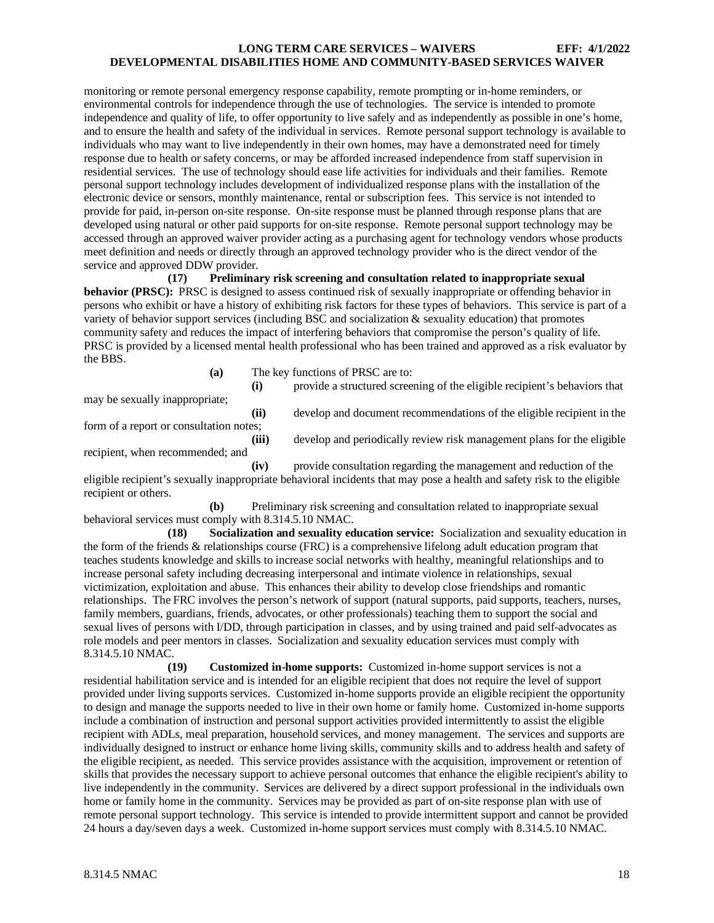monitoring or remote personal emergency response capability, remote prompting or in-home reminders, or environmental controls for independence through the use of technologies. The service is intended to promote independence and quality of life, to offer opportunity to live safely and as independently as possible in one's home, and to ensure the health and safety of the individual in services. Remote personal support technology is available to individuals who may want to live independently in their own homes, may have a demonstrated need for timely response due to health or safety concerns, or may be afforded increased independence from staff supervision in residential services. The use of technology should ease life activities for individuals and their families. Remote personal support technology includes development of individualized response plans with the installation of the electronic device or sensors, monthly maintenance, rental or subscription fees. This service is not intended to provide for paid, in-person on-site response. On-site response must be planned through response plans that are developed using natural or other paid supports for on-site response. Remote personal support technology may be accessed through an approved waiver provider acting as a purchasing agent for technology vendors whose products meet definition and needs or directly through an approved technology provider who is the direct vendor of the service and approved DDW provider.

**(17) Preliminary risk screening and consultation related to inappropriate sexual behavior (PRSC):** PRSC is designed to assess continued risk of sexually inappropriate or offending behavior in persons who exhibit or have a history of exhibiting risk factors for these types of behaviors. This service is part of a variety of behavior support services (including BSC and socialization & sexuality education) that promotes community safety and reduces the impact of interfering behaviors that compromise the person's quality of life. PRSC is provided by a licensed mental health professional who has been trained and approved as a risk evaluator by the BBS.

**(a)** The key functions of PRSC are to:

**(i)** provide a structured screening of the eligible recipient's behaviors that may be sexually inappropriate; **(ii)** develop and document recommendations of the eligible recipient in the form of a report or consultation notes; **(iii)** develop and periodically review risk management plans for the eligible recipient, when recommended; and **(iv)** provide consultation regarding the management and reduction of the

eligible recipient's sexually inappropriate behavioral incidents that may pose a health and safety risk to the eligible recipient or others.

**(b)** Preliminary risk screening and consultation related to inappropriate sexual behavioral services must comply with 8.314.5.10 NMAC.

**(18) Socialization and sexuality education service:** Socialization and sexuality education in the form of the friends & relationships course (FRC) is a comprehensive lifelong adult education program that teaches students knowledge and skills to increase social networks with healthy, meaningful relationships and to increase personal safety including decreasing interpersonal and intimate violence in relationships, sexual victimization, exploitation and abuse. This enhances their ability to develop close friendships and romantic relationships. The FRC involves the person's network of support (natural supports, paid supports, teachers, nurses, family members, guardians, friends, advocates, or other professionals) teaching them to support the social and sexual lives of persons with I/DD, through participation in classes, and by using trained and paid self-advocates as role models and peer mentors in classes. Socialization and sexuality education services must comply with 8.314.5.10 NMAC.

**(19) Customized in-home supports:** Customized in-home support services is not a residential habilitation service and is intended for an eligible recipient that does not require the level of support provided under living supports services. Customized in-home supports provide an eligible recipient the opportunity to design and manage the supports needed to live in their own home or family home. Customized in-home supports include a combination of instruction and personal support activities provided intermittently to assist the eligible recipient with ADLs, meal preparation, household services, and money management. The services and supports are individually designed to instruct or enhance home living skills, community skills and to address health and safety of the eligible recipient, as needed. This service provides assistance with the acquisition, improvement or retention of skills that provides the necessary support to achieve personal outcomes that enhance the eligible recipient's ability to live independently in the community. Services are delivered by a direct support professional in the individuals own home or family home in the community. Services may be provided as part of on-site response plan with use of remote personal support technology. This service is intended to provide intermittent support and cannot be provided 24 hours a day/seven days a week. Customized in-home support services must comply with 8.314.5.10 NMAC.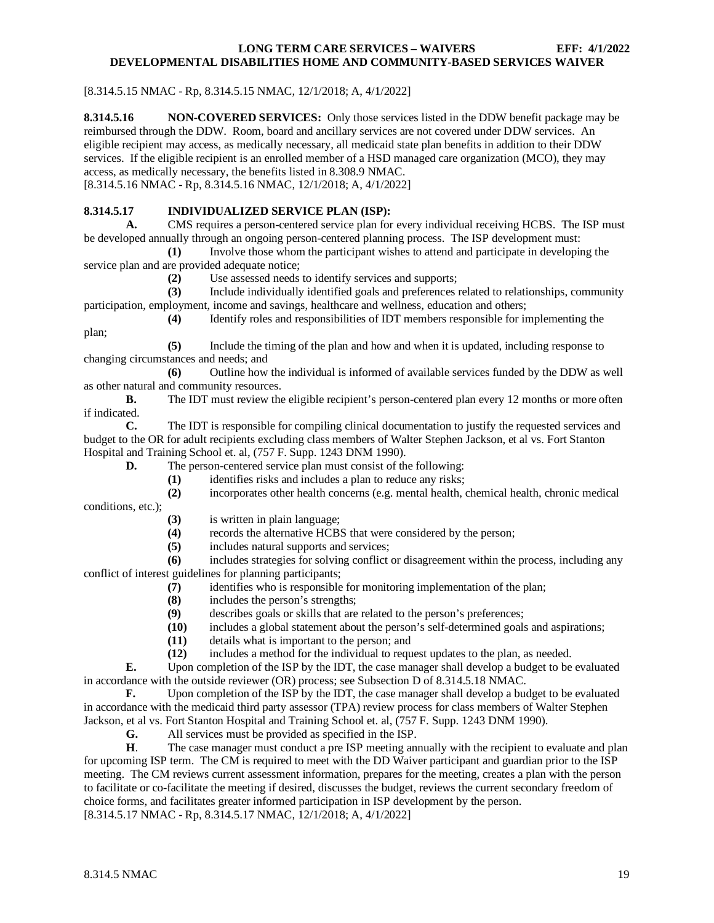[8.314.5.15 NMAC - Rp, 8.314.5.15 NMAC, 12/1/2018; A, 4/1/2022]

<span id="page-19-0"></span>**8.314.5.16 NON-COVERED SERVICES:** Only those services listed in the DDW benefit package may be reimbursed through the DDW. Room, board and ancillary services are not covered under DDW services. An eligible recipient may access, as medically necessary, all medicaid state plan benefits in addition to their DDW services. If the eligible recipient is an enrolled member of a HSD managed care organization (MCO), they may access, as medically necessary, the benefits listed in 8.308.9 NMAC. [8.314.5.16 NMAC - Rp, 8.314.5.16 NMAC, 12/1/2018; A, 4/1/2022]

## <span id="page-19-1"></span>**8.314.5.17 INDIVIDUALIZED SERVICE PLAN (ISP):**

**A.** CMS requires a person-centered service plan for every individual receiving HCBS. The ISP must be developed annually through an ongoing person-centered planning process. The ISP development must:

**(1)** Involve those whom the participant wishes to attend and participate in developing the service plan and are provided adequate notice;

**(2)** Use assessed needs to identify services and supports;

**(3)** Include individually identified goals and preferences related to relationships, community participation, employment, income and savings, healthcare and wellness, education and others;

**(4)** Identify roles and responsibilities of IDT members responsible for implementing the plan;

**(5)** Include the timing of the plan and how and when it is updated, including response to changing circumstances and needs; and

**(6)** Outline how the individual is informed of available services funded by the DDW as well as other natural and community resources.

**B.** The IDT must review the eligible recipient's person-centered plan every 12 months or more often if indicated.

**C.** The IDT is responsible for compiling clinical documentation to justify the requested services and budget to the OR for adult recipients excluding class members of Walter Stephen Jackson, et al vs. Fort Stanton Hospital and Training School et. al, (757 F. Supp. 1243 DNM 1990).

**D.** The person-centered service plan must consist of the following:

**(1)** identifies risks and includes a plan to reduce any risks;

**(2)** incorporates other health concerns (e.g. mental health, chemical health, chronic medical

conditions, etc.);

- (3) is written in plain language;<br>(4) records the alternative HCB.
	- records the alternative HCBS that were considered by the person;
- **(5)** includes natural supports and services;

**(6)** includes strategies for solving conflict or disagreement within the process, including any conflict of interest guidelines for planning participants;

- **(7)** identifies who is responsible for monitoring implementation of the plan;
- **(8)** includes the person's strengths;
- **(9)** describes goals or skills that are related to the person's preferences;
- **(10)** includes a global statement about the person's self-determined goals and aspirations;
- **(11)** details what is important to the person; and **(12)** includes a method for the individual to requ
- **(12)** includes a method for the individual to request updates to the plan, as needed.

**E.** Upon completion of the ISP by the IDT, the case manager shall develop a budget to be evaluated in accordance with the outside reviewer (OR) process; see Subsection D of 8.314.5.18 NMAC.

**F.** Upon completion of the ISP by the IDT, the case manager shall develop a budget to be evaluated in accordance with the medicaid third party assessor (TPA) review process for class members of Walter Stephen Jackson, et al vs. Fort Stanton Hospital and Training School et. al, (757 F. Supp. 1243 DNM 1990).

**G.** All services must be provided as specified in the ISP.

**H**. The case manager must conduct a pre ISP meeting annually with the recipient to evaluate and plan for upcoming ISP term. The CM is required to meet with the DD Waiver participant and guardian prior to the ISP meeting. The CM reviews current assessment information, prepares for the meeting, creates a plan with the person to facilitate or co-facilitate the meeting if desired, discusses the budget, reviews the current secondary freedom of choice forms, and facilitates greater informed participation in ISP development by the person. [8.314.5.17 NMAC - Rp, 8.314.5.17 NMAC, 12/1/2018; A, 4/1/2022]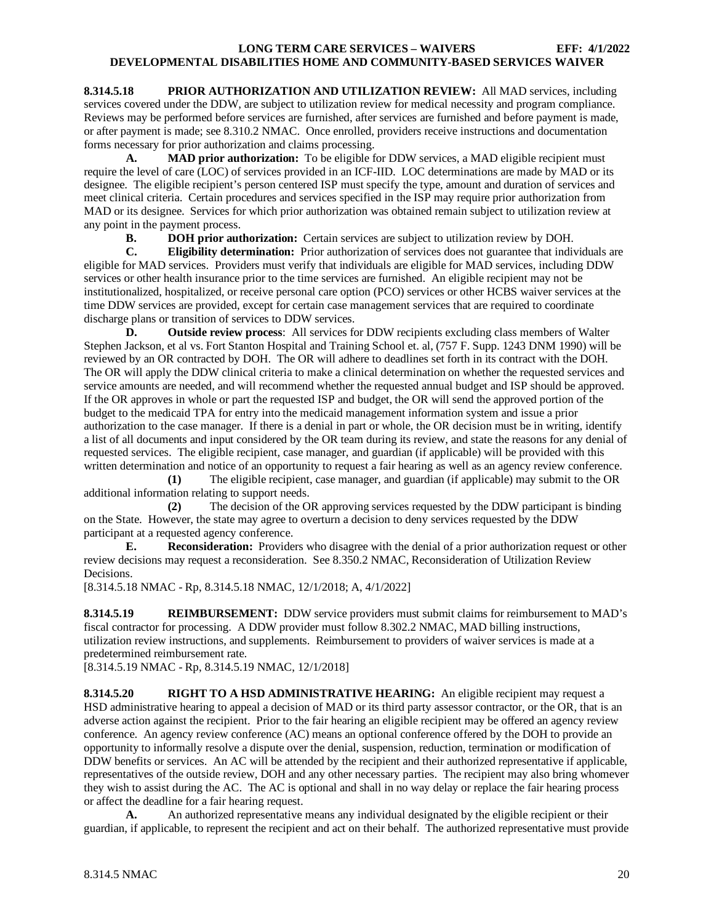<span id="page-20-0"></span>**8.314.5.18 PRIOR AUTHORIZATION AND UTILIZATION REVIEW:** All MAD services, including services covered under the DDW, are subject to utilization review for medical necessity and program compliance. Reviews may be performed before services are furnished, after services are furnished and before payment is made, or after payment is made; see 8.310.2 NMAC. Once enrolled, providers receive instructions and documentation forms necessary for prior authorization and claims processing.

**A. MAD prior authorization:** To be eligible for DDW services, a MAD eligible recipient must require the level of care (LOC) of services provided in an ICF-IID. LOC determinations are made by MAD or its designee. The eligible recipient's person centered ISP must specify the type, amount and duration of services and meet clinical criteria. Certain procedures and services specified in the ISP may require prior authorization from MAD or its designee. Services for which prior authorization was obtained remain subject to utilization review at any point in the payment process.

**B. DOH** prior authorization: Certain services are subject to utilization review by DOH.<br> **C. Eligibility determination:** Prior authorization of services does not guarantee that indiv

**C. Eligibility determination:** Prior authorization of services does not guarantee that individuals are eligible for MAD services. Providers must verify that individuals are eligible for MAD services, including DDW services or other health insurance prior to the time services are furnished. An eligible recipient may not be institutionalized, hospitalized, or receive personal care option (PCO) services or other HCBS waiver services at the time DDW services are provided, except for certain case management services that are required to coordinate discharge plans or transition of services to DDW services.

**D. Outside review process**: All services for DDW recipients excluding class members of Walter Stephen Jackson, et al vs. Fort Stanton Hospital and Training School et. al, (757 F. Supp. 1243 DNM 1990) will be reviewed by an OR contracted by DOH. The OR will adhere to deadlines set forth in its contract with the DOH. The OR will apply the DDW clinical criteria to make a clinical determination on whether the requested services and service amounts are needed, and will recommend whether the requested annual budget and ISP should be approved. If the OR approves in whole or part the requested ISP and budget, the OR will send the approved portion of the budget to the medicaid TPA for entry into the medicaid management information system and issue a prior authorization to the case manager. If there is a denial in part or whole, the OR decision must be in writing, identify a list of all documents and input considered by the OR team during its review, and state the reasons for any denial of requested services. The eligible recipient, case manager, and guardian (if applicable) will be provided with this written determination and notice of an opportunity to request a fair hearing as well as an agency review conference.

**(1)** The eligible recipient, case manager, and guardian (if applicable) may submit to the OR additional information relating to support needs.

**(2)** The decision of the OR approving services requested by the DDW participant is binding on the State. However, the state may agree to overturn a decision to deny services requested by the DDW participant at a requested agency conference.

**E. Reconsideration:** Providers who disagree with the denial of a prior authorization request or other review decisions may request a reconsideration. See 8.350.2 NMAC, Reconsideration of Utilization Review Decisions.

[8.314.5.18 NMAC - Rp, 8.314.5.18 NMAC, 12/1/2018; A, 4/1/2022]

<span id="page-20-1"></span>**8.314.5.19 REIMBURSEMENT:** DDW service providers must submit claims for reimbursement to MAD's fiscal contractor for processing. A DDW provider must follow 8.302.2 NMAC, MAD billing instructions, utilization review instructions, and supplements. Reimbursement to providers of waiver services is made at a predetermined reimbursement rate.

[8.314.5.19 NMAC - Rp, 8.314.5.19 NMAC, 12/1/2018]

<span id="page-20-2"></span>**8.314.5.20 RIGHT TO A HSD ADMINISTRATIVE HEARING:** An eligible recipient may request a HSD administrative hearing to appeal a decision of MAD or its third party assessor contractor, or the OR, that is an adverse action against the recipient. Prior to the fair hearing an eligible recipient may be offered an agency review conference. An agency review conference (AC) means an optional conference offered by the DOH to provide an opportunity to informally resolve a dispute over the denial, suspension, reduction, termination or modification of DDW benefits or services. An AC will be attended by the recipient and their authorized representative if applicable, representatives of the outside review, DOH and any other necessary parties. The recipient may also bring whomever they wish to assist during the AC. The AC is optional and shall in no way delay or replace the fair hearing process or affect the deadline for a fair hearing request.

**A.** An authorized representative means any individual designated by the eligible recipient or their guardian, if applicable, to represent the recipient and act on their behalf. The authorized representative must provide